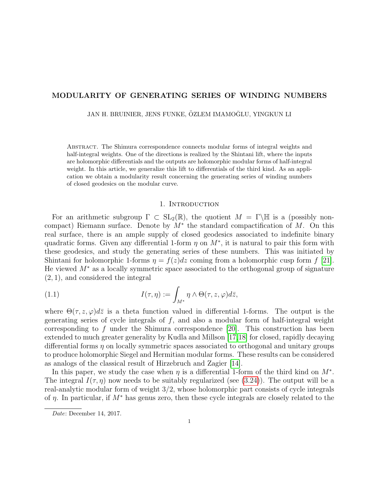# <span id="page-0-0"></span>MODULARITY OF GENERATING SERIES OF WINDING NUMBERS

JAN H. BRUINIER, JENS FUNKE, ÖZLEM IMAMOĞLU, YINGKUN LI

Abstract. The Shimura correspondence connects modular forms of integral weights and half-integral weights. One of the directions is realized by the Shintani lift, where the inputs are holomorphic differentials and the outputs are holomorphic modular forms of half-integral weight. In this article, we generalize this lift to differentials of the third kind. As an application we obtain a modularity result concerning the generating series of winding numbers of closed geodesics on the modular curve.

### <span id="page-0-1"></span>1. INTRODUCTION

For an arithmetic subgroup  $\Gamma \subset SL_2(\mathbb{R})$ , the quotient  $M = \Gamma \backslash \mathbb{H}$  is a (possibly noncompact) Riemann surface. Denote by  $M^*$  the standard compactification of M. On this real surface, there is an ample supply of closed geodesics associated to indefinite binary quadratic forms. Given any differential 1-form  $\eta$  on  $M^*$ , it is natural to pair this form with these geodesics, and study the generating series of these numbers. This was initiated by Shintani for holomorphic 1-forms  $\eta = f(z)dz$  coming from a holomorphic cusp form f [\[21\]](#page-24-0). He viewed M<sup>∗</sup> as a locally symmetric space associated to the orthogonal group of signature (2, 1), and considered the integral

(1.1) 
$$
I(\tau, \eta) := \int_{M^*} \eta \wedge \Theta(\tau, z, \varphi) d\bar{z},
$$

where  $\Theta(\tau, z, \varphi)d\bar{z}$  is a theta function valued in differential 1-forms. The output is the generating series of cycle integrals of  $f$ , and also a modular form of half-integral weight corresponding to f under the Shimura correspondence  $[20]$ . This construction has been extended to much greater generality by Kudla and Millson [\[17,](#page-24-2)[18\]](#page-24-3) for closed, rapidly decaying differential forms  $\eta$  on locally symmetric spaces associated to orthogonal and unitary groups to produce holomorphic Siegel and Hermitian modular forms. These results can be considered as analogs of the classical result of Hirzebruch and Zagier [\[14\]](#page-23-0).

In this paper, we study the case when  $\eta$  is a differential 1-form of the third kind on  $M^*$ . The integral  $I(\tau, \eta)$  now needs to be suitably regularized (see [\(3.24\)](#page-14-0)). The output will be a real-analytic modular form of weight 3/2, whose holomorphic part consists of cycle integrals of  $\eta$ . In particular, if  $M^*$  has genus zero, then these cycle integrals are closely related to the

Date: December 14, 2017.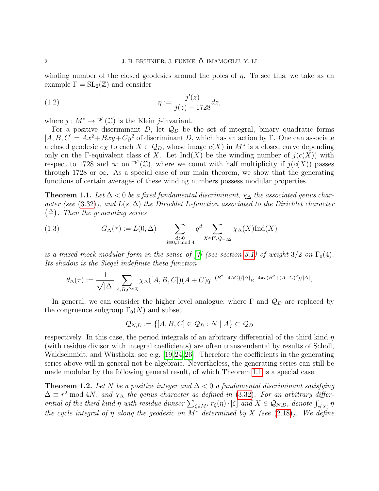winding number of the closed geodesics around the poles of  $\eta$ . To see this, we take as an example  $\Gamma = SL_2(\mathbb{Z})$  and consider

(1.2) 
$$
\eta := \frac{j'(z)}{j(z) - 1728} dz,
$$

where  $j: M^* \to \mathbb{P}^1(\mathbb{C})$  is the Klein j-invariant.

For a positive discriminant D, let  $\mathcal{Q}_D$  be the set of integral, binary quadratic forms  $[A, B, C] = Ax^2 + Bxy + Cy^2$  of discriminant D, which has an action by Γ. One can associate a closed geodesic  $c_X$  to each  $X \in \mathcal{Q}_D$ , whose image  $c(X)$  in  $M^*$  is a closed curve depending only on the Γ-equivalent class of X. Let  $\text{Ind}(X)$  be the winding number of  $j(c(X))$  with respect to 1728 and  $\infty$  on  $\mathbb{P}^1(\mathbb{C})$ , where we count with half multiplicity if  $j(c(X))$  passes through 1728 or  $\infty$ . As a special case of our main theorem, we show that the generating functions of certain averages of these winding numbers possess modular properties.

<span id="page-1-0"></span>**Theorem 1.1.** Let  $\Delta$  < 0 be a fixed fundamental discriminant,  $\chi_{\Delta}$  the associated genus char-acter (see [\(3.32\)](#page-17-0)), and  $L(s, \Delta)$  the Dirichlet L-function associated to the Dirichlet character  $\left(\frac{\Delta}{\cdot}\right)$ . Then the generating series

(1.3) 
$$
G_{\Delta}(\tau) := L(0, \Delta) + \sum_{\substack{d>0 \ \text{mod } 4}} q^d \sum_{X \in \Gamma \backslash \mathcal{Q}_{-d\Delta}} \chi_{\Delta}(X) \operatorname{Ind}(X)
$$

is a mixed mock modular form in the sense of [\[7\]](#page-23-1) (see section [3.1\)](#page-8-0) of weight  $3/2$  on  $\Gamma_0(4)$ . Its shadow is the Siegel indefinite theta function

$$
\theta_{\Delta}(\tau) := \frac{1}{\sqrt{|\Delta|}} \sum_{A,B,C \in \mathbb{Z}} \chi_{\Delta}([A,B,C])(A+C) q^{-(B^2 - 4AC)/|\Delta|} e^{-4\pi v (B^2 + (A-C)^2)/|\Delta|}.
$$

In general, we can consider the higher level analogue, where  $\Gamma$  and  $\mathcal{Q}_D$  are replaced by the congruence subgroup  $\Gamma_0(N)$  and subset

$$
\mathcal{Q}_{N,D} := \{ [A, B, C] \in \mathcal{Q}_D : N \mid A \} \subset \mathcal{Q}_D
$$

respectively. In this case, the period integrals of an arbitrary differential of the third kind  $\eta$ (with residue divisor with integral coefficients) are often transcendental by results of Scholl, Waldschmidt, and Wüstholz, see e.g. [\[19,](#page-24-4) [24,](#page-24-5) [26\]](#page-24-6). Therefore the coefficients in the generating series above will in general not be algebraic. Nevertheless, the generating series can still be made modular by the following general result, of which Theorem [1.1](#page-1-0) is a special case.

<span id="page-1-1"></span>**Theorem 1.2.** Let N be a positive integer and  $\Delta < 0$  a fundamental discriminant satisfying  $\Delta \equiv r^2 \mod 4N$ , and  $\chi_{\Delta}$  the genus character as defined in [\(3.32\)](#page-17-0). For an arbitrary differential of the third kind  $\eta$  with residue divisor  $\sum_{\zeta \in M^*} r_{\zeta}(\eta) \cdot [\zeta]$  and  $X \in \mathcal{Q}_{N,D}$ , denote  $\int_{c(X)} \eta$ the cycle integral of  $\eta$  along the geodesic on  $M^*$  determined by X (see [\(2.18\)](#page-7-0)). We define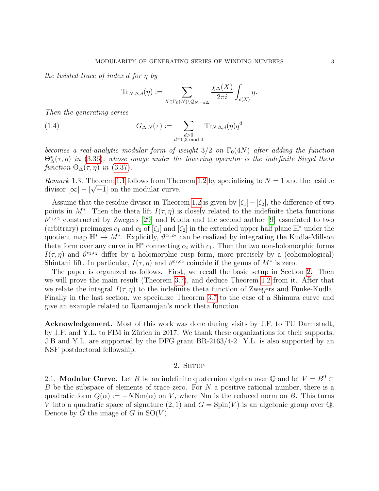the twisted trace of index d for η by

<span id="page-2-2"></span>
$$
\mathrm{Tr}_{N,\Delta,d}(\eta) := \sum_{X \in \Gamma_0(N) \setminus \mathcal{Q}_{N,-d\Delta}} \frac{\chi_{\Delta}(X)}{2\pi i} \int_{c(X)} \eta.
$$

Then the generating series

(1.4) 
$$
G_{\Delta,N}(\tau) := \sum_{\substack{d>0\\d\equiv 0,3 \bmod 4}} \text{Tr}_{N,\Delta,d}(\eta) q^d
$$

becomes a real-analytic modular form of weight  $3/2$  on  $\Gamma_0(4N)$  after adding the function  $\Theta_{\Delta}^{*}(\tau,\eta)$  in [\(3.36\)](#page-18-0), whose image under the lowering operator is the indefinite Siegel theta function  $\Theta_{\Delta}(\tau, \eta)$  in [\(3.37\)](#page-18-1).

Remark 1.3. Theorem [1.1](#page-1-0) follows from Theorem [1.2](#page-1-1) by specializing to  $N = 1$  and the residue divisor  $[\infty] - [\sqrt{-1}]$  on the modular curve.

Assume that the residue divisor in Theorem [1.2](#page-1-1) is given by  $[\zeta_1]-[\zeta_2]$ , the difference of two points in  $M^*$ . Then the theta lift  $I(\tau, \eta)$  is closely related to the indefinite theta functions  $\vartheta^{c_1,c_2}$  constructed by Zwegers [\[29\]](#page-24-7) and Kudla and the second author [\[9\]](#page-23-2) associated to two (arbitrary) preimages  $c_1$  and  $c_2$  of  $[\zeta_1]$  and  $[\zeta_2]$  in the extended upper half plane  $\mathbb{H}^*$  under the quotient map  $\mathbb{H}^* \to M^*$ . Explicitly,  $\vartheta^{c_1,c_2}$  can be realized by integrating the Kudla-Millson theta form over any curve in  $\mathbb{H}^*$  connecting  $c_2$  with  $c_1$ . Then the two non-holomorphic forms  $I(\tau, \eta)$  and  $\vartheta^{c_1, c_2}$  differ by a holomorphic cusp form, more precisely by a (cohomological) Shintani lift. In particular,  $I(\tau, \eta)$  and  $\vartheta^{c_1, c_2}$  coincide if the genus of  $M^*$  is zero.

The paper is organized as follows. First, we recall the basic setup in Section [2.](#page-2-0) Then we will prove the main result (Theorem [3.7\)](#page-14-1), and deduce Theorem [1.2](#page-1-1) from it. After that we relate the integral  $I(\tau, \eta)$  to the indefinite theta function of Zwegers and Funke-Kudla. Finally in the last section, we specialize Theorem [3.7](#page-14-1) to the case of a Shimura curve and give an example related to Ramanujan's mock theta function.

Acknowledgement. Most of this work was done during visits by J.F. to TU Darmstadt, by J.F. and Y.L. to FIM in Zürich in 2017. We thank these organizations for their supports. J.B and Y.L. are supported by the DFG grant BR-2163/4-2. Y.L. is also supported by an NSF postdoctoral fellowship.

# 2. SETUP

<span id="page-2-1"></span><span id="page-2-0"></span>2.1. **Modular Curve.** Let B be an indefinite quaternion algebra over  $\mathbb{Q}$  and let  $V = B^0 \subset$ B be the subspace of elements of trace zero. For N a positive rational number, there is a quadratic form  $Q(\alpha) := -N \text{Nm}(\alpha)$  on V, where Nm is the reduced norm on B. This turns V into a quadratic space of signature  $(2, 1)$  and  $G = Spin(V)$  is an algebraic group over Q. Denote by G the image of G in  $SO(V)$ .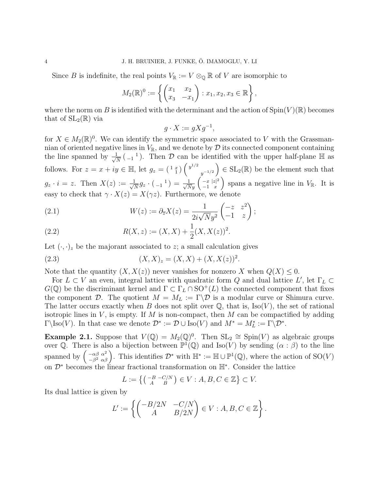Since B is indefinite, the real points  $V_{\mathbb{R}} := V \otimes_{\mathbb{Q}} \mathbb{R}$  of V are isomorphic to

$$
M_2(\mathbb{R})^0 := \left\{ \begin{pmatrix} x_1 & x_2 \\ x_3 & -x_1 \end{pmatrix} : x_1, x_2, x_3 \in \mathbb{R} \right\},\
$$

where the norm on B is identified with the determinant and the action of  $Spin(V)(\mathbb{R})$  becomes that of  $SL_2(\mathbb{R})$  via

$$
g \cdot X := gXg^{-1},
$$

for  $X \in M_2(\mathbb{R})^0$ . We can identify the symmetric space associated to V with the Grassmannian of oriented negative lines in  $V_{\mathbb{R}}$ , and we denote by  $\mathcal D$  its connected component containing the line spanned by  $\frac{1}{\sqrt{2}}$  $\frac{1}{N}$  ( $_{-1}$ <sup>1</sup>). Then D can be identified with the upper half-plane  $\mathbb{H}$  as follows. For  $z = x + iy \in \mathbb{H}$ , let  $g_z = \begin{pmatrix} 1 & x \\ 1 & 1 \end{pmatrix} \begin{pmatrix} y^{1/2} & 0 & 0 \\ 0 & y^{1/2} & 0 \end{pmatrix}$  $y^{-1/2}$  $\Big) \in SL_2(\mathbb{R})$  be the element such that  $g_z \cdot i = z$ . Then  $X(z) := \frac{1}{\sqrt{2}}$  $\frac{1}{\overline{N}}g_z\cdot\left(\begin{smallmatrix}&1\\&-1\end{smallmatrix}\right)=\frac{1}{\sqrt{N}y}\left(\begin{smallmatrix}-x&|z|^2\-1&x\end{smallmatrix}\right)$  $-1$  x ) spans a negative line in  $V_{\mathbb{R}}$ . It is easy to check that  $\gamma \cdot X(z) = X(\gamma z)$ . Furthermore, we denote

(2.1) 
$$
W(z) := \partial_{\overline{z}} X(z) = \frac{1}{2i\sqrt{N}y^2} \begin{pmatrix} -z & z^2 \\ -1 & z \end{pmatrix};
$$

(2.2) 
$$
R(X, z) := (X, X) + \frac{1}{2}(X, X(z))^2.
$$

Let  $(\cdot, \cdot)_z$  be the majorant associated to z; a small calculation gives

(2.3) 
$$
(X, X)_z = (X, X) + (X, X(z))^2.
$$

Note that the quantity  $(X, X(z))$  never vanishes for nonzero X when  $Q(X) \leq 0$ .

For  $L \subset V$  an even, integral lattice with quadratic form Q and dual lattice  $L'$ , let  $\Gamma_L \subset$  $G(\mathbb{Q})$  be the discriminant kernel and  $\Gamma \subset \Gamma_L \cap \mathrm{SO}^+(L)$  the connected component that fixes the component D. The quotient  $M = M_L := \Gamma \backslash \mathcal{D}$  is a modular curve or Shimura curve. The latter occurs exactly when B does not split over  $\mathbb{Q}$ , that is, Iso(V), the set of rational isotropic lines in  $V$ , is empty. If  $M$  is non-compact, then  $M$  can be compactified by adding  $\Gamma \backslash \text{Iso}(V)$ . In that case we denote  $\mathcal{D}^* := \mathcal{D} \cup \text{Iso}(V)$  and  $M^* = M^*_{L} := \Gamma \backslash \mathcal{D}^*$ .

<span id="page-3-0"></span>**Example 2.1.** Suppose that  $V(\mathbb{Q}) = M_2(\mathbb{Q})^0$ . Then  $SL_2 \cong Spin(V)$  as algebraic groups over Q. There is also a bijection between  $\mathbb{P}^1(\mathbb{Q})$  and Iso(V) by sending  $(\alpha : \beta)$  to the line spanned by  $\int_{\frac{\alpha\beta}{2}}^{\frac{\alpha\beta}{2}} \alpha^2$  $\left( \begin{array}{c} -\alpha\beta & \alpha^2 \\ -\beta^2 & \alpha\beta \end{array} \right)$ . This identifies  $\mathcal{D}^*$  with  $\mathbb{H}^* := \mathbb{H} \cup \mathbb{P}^1(\mathbb{Q})$ , where the action of  $\text{SO}(V)$ on  $\mathcal{D}^*$  becomes the linear fractional transformation on  $\mathbb{H}^*$ . Consider the lattice

$$
L := \left\{ \left( \begin{smallmatrix} -B & -C/N \\ A & B \end{smallmatrix} \right) \in V : A, B, C \in \mathbb{Z} \right\} \subset V.
$$

Its dual lattice is given by

$$
L' := \left\{ \begin{pmatrix} -B/2N & -C/N \\ A & B/2N \end{pmatrix} \in V : A, B, C \in \mathbb{Z} \right\}.
$$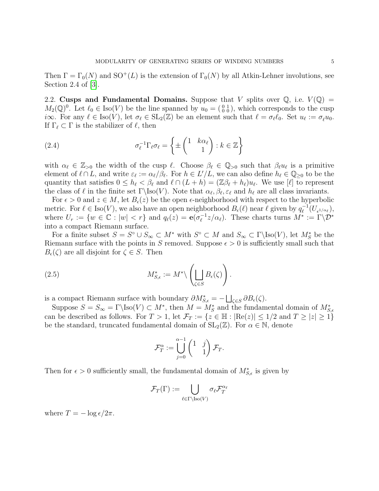Then  $\Gamma = \Gamma_0(N)$  and  $SO^+(L)$  is the extension of  $\Gamma_0(N)$  by all Atkin-Lehner involutions, see Section 2.4 of [\[3\]](#page-23-3).

<span id="page-4-0"></span>2.2. Cusps and Fundamental Domains. Suppose that V splits over  $\mathbb{Q}$ , i.e.  $V(\mathbb{Q}) =$  $M_2(\mathbb{Q})^0$ . Let  $\ell_0 \in \text{Iso}(V)$  be the line spanned by  $u_0 = \begin{pmatrix} 0 & 1 \\ 0 & 0 \end{pmatrix}$ , which corresponds to the cusp i∞. For any  $\ell \in \text{Iso}(V)$ , let  $\sigma_\ell \in \text{SL}_2(\mathbb{Z})$  be an element such that  $\ell = \sigma_\ell \ell_0$ . Set  $u_\ell := \sigma_\ell u_0$ . If  $\Gamma_\ell \subset \Gamma$  is the stabilizer of  $\ell$ , then

<span id="page-4-1"></span>(2.4) 
$$
\sigma_{\ell}^{-1} \Gamma_{\ell} \sigma_{\ell} = \left\{ \pm \begin{pmatrix} 1 & k \alpha_{\ell} \\ & 1 \end{pmatrix} : k \in \mathbb{Z} \right\}
$$

with  $\alpha_\ell \in \mathbb{Z}_{>0}$  the width of the cusp  $\ell$ . Choose  $\beta_\ell \in \mathbb{Q}_{>0}$  such that  $\beta_\ell u_\ell$  is a primitive element of  $\ell \cap L$ , and write  $\varepsilon_{\ell} := \alpha_{\ell}/\beta_{\ell}$ . For  $h \in L'/L$ , we can also define  $h_{\ell} \in \mathbb{Q}_{\geq 0}$  to be the quantity that satisfies  $0 \le h_\ell < \beta_\ell$  and  $\ell \cap (L + h) = (\mathbb{Z} \beta_\ell + h_\ell)u_\ell$ . We use  $[\ell]$  to represent the class of  $\ell$  in the finite set  $\Gamma\setminus \text{Iso}(V)$ . Note that  $\alpha_{\ell}, \beta_{\ell}, \varepsilon_{\ell}$  and  $h_{\ell}$  are all class invariants.

For  $\epsilon > 0$  and  $z \in M$ , let  $B_{\epsilon}(z)$  be the open  $\epsilon$ -neighborhood with respect to the hyperbolic metric. For  $\ell \in Iso(V)$ , we also have an open neighborhood  $B_{\epsilon}(\ell)$  near  $\ell$  given by  $q_{\ell}^{-1}$  $\bar{\ell}^{-1}(U_{\epsilon^{1/\alpha_{\ell}}}),$ where  $U_r := \{ w \in \mathbb{C} : |w| < r \}$  and  $q_\ell(z) = \mathbf{e}(\sigma_\ell^{-1})$  $\int_{\ell}^{-1} z/\alpha_{\ell}$ ). These charts turns  $M^* := \Gamma \backslash \mathcal{D}^*$ into a compact Riemann surface.

For a finite subset  $S = S^{\circ} \cup S_{\infty} \subset M^*$  with  $S^{\circ} \subset M$  and  $S_{\infty} \subset \Gamma \setminus \text{Iso}(V)$ , let  $M^*_{S}$  be the Riemann surface with the points in S removed. Suppose  $\epsilon > 0$  is sufficiently small such that  $B_{\epsilon}(\zeta)$  are all disjoint for  $\zeta \in S$ . Then

(2.5) 
$$
M_{S,\epsilon}^* := M^* \backslash \left( \bigsqcup_{\zeta \in S} B_{\epsilon}(\zeta) \right).
$$

is a compact Riemann surface with boundary  $\partial M_{S,\epsilon}^* = - \bigsqcup_{\zeta \in S} \partial B_{\epsilon}(\zeta)$ .

Suppose  $S = S_{\infty} = \Gamma \setminus \text{Iso}(V) \subset M^*$ , then  $M = M_S^*$  and the fundamental domain of  $M_{S,\epsilon}^*$ can be described as follows. For  $T > 1$ , let  $\mathcal{F}_T := \{z \in \mathbb{H} : |\text{Re}(z)| \leq 1/2 \text{ and } T \geq |z| \geq 1\}$ be the standard, truncated fundamental domain of  $SL_2(\mathbb{Z})$ . For  $\alpha \in \mathbb{N}$ , denote

$$
\mathcal{F}_T^{\alpha} := \bigcup_{j=0}^{\alpha-1} \begin{pmatrix} 1 & j \\ & 1 \end{pmatrix} \mathcal{F}_T.
$$

Then for  $\epsilon > 0$  sufficiently small, the fundamental domain of  $M_{S,\epsilon}^*$  is given by

$$
\mathcal{F}_T(\Gamma):=\bigcup_{\ell\in\Gamma\backslash{\rm Iso}(V)}\sigma_\ell\mathcal{F}_T^{\alpha_\ell}
$$

where  $T = -\log \epsilon / 2\pi$ .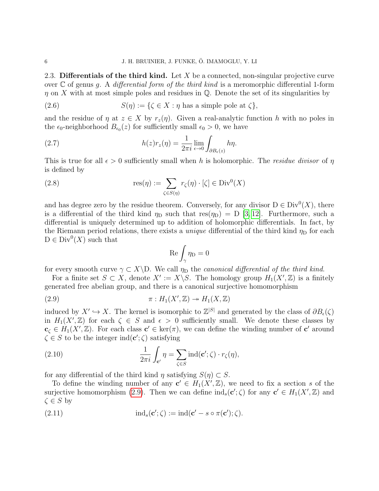<span id="page-5-2"></span>2.3. Differentials of the third kind. Let X be a connected, non-singular projective curve over  $\mathbb C$  of genus g. A differential form of the third kind is a meromorphic differential 1-form  $\eta$  on X with at most simple poles and residues in Q. Denote the set of its singularities by

(2.6) 
$$
S(\eta) := \{ \zeta \in X : \eta \text{ has a simple pole at } \zeta \},
$$

and the residue of  $\eta$  at  $z \in X$  by  $r_z(\eta)$ . Given a real-analytic function h with no poles in the  $\epsilon_0$ -neighborhood  $B_{\epsilon_0}(z)$  for sufficiently small  $\epsilon_0 > 0$ , we have

<span id="page-5-1"></span>(2.7) 
$$
h(z)r_z(\eta) = \frac{1}{2\pi i} \lim_{\epsilon \to 0} \int_{\partial B_{\epsilon}(z)} h\eta.
$$

This is true for all  $\epsilon > 0$  sufficiently small when h is holomorphic. The residue divisor of  $\eta$ is defined by

(2.8) 
$$
\operatorname{res}(\eta) := \sum_{\zeta \in S(\eta)} r_{\zeta}(\eta) \cdot [\zeta] \in \operatorname{Div}^0(X)
$$

and has degree zero by the residue theorem. Conversely, for any divisor  $D \in Div^0(X)$ , there is a differential of the third kind  $\eta_D$  such that res( $\eta_D$ ) = D [\[3,](#page-23-3) [12\]](#page-23-4). Furthermore, such a differential is uniquely determined up to addition of holomorphic differentials. In fact, by the Riemann period relations, there exists a *unique* differential of the third kind  $\eta_D$  for each  $D \in Div^0(X)$  such that

<span id="page-5-0"></span>
$$
\mathrm{Re}\int_{\gamma}\eta_D=0
$$

for every smooth curve  $\gamma \subset X \backslash D$ . We call  $\eta_D$  the canonical differential of the third kind.

For a finite set  $S \subset X$ , denote  $X' := X \backslash S$ . The homology group  $H_1(X', \mathbb{Z})$  is a finitely generated free abelian group, and there is a canonical surjective homomorphism

(2.9) 
$$
\pi: H_1(X', \mathbb{Z}) \to H_1(X, \mathbb{Z})
$$

induced by  $X' \hookrightarrow X$ . The kernel is isomorphic to  $\mathbb{Z}^{|S|}$  and generated by the class of  $\partial B_{\epsilon}(\zeta)$ in  $H_1(X',\mathbb{Z})$  for each  $\zeta \in S$  and  $\epsilon > 0$  sufficiently small. We denote these classes by  $\mathbf{c}_{\zeta} \in H_1(X',\mathbb{Z})$ . For each class  $\mathbf{c}' \in \text{ker}(\pi)$ , we can define the winding number of  $\mathbf{c}'$  around  $\zeta \in S$  to be the integer  $\text{ind}(\mathbf{c}'; \zeta)$  satisfying

(2.10) 
$$
\frac{1}{2\pi i} \int_{\mathbf{c}'} \eta = \sum_{\zeta \in S} \mathrm{ind}(\mathbf{c}'; \zeta) \cdot r_{\zeta}(\eta),
$$

for any differential of the third kind  $\eta$  satisfying  $S(\eta) \subset S$ .

To define the winding number of any  $c' \in H_1(X',\mathbb{Z})$ , we need to fix a section s of the surjective homomorphism [\(2.9\)](#page-5-0). Then we can define  $\text{ind}_s(\mathbf{c}'; \zeta)$  for any  $\mathbf{c}' \in H_1(X', \mathbb{Z})$  and  $\zeta \in S$  by

(2.11) 
$$
\mathrm{ind}_s(\mathbf{c}';\zeta):=\mathrm{ind}(\mathbf{c}'-s\circ\pi(\mathbf{c}');\zeta).
$$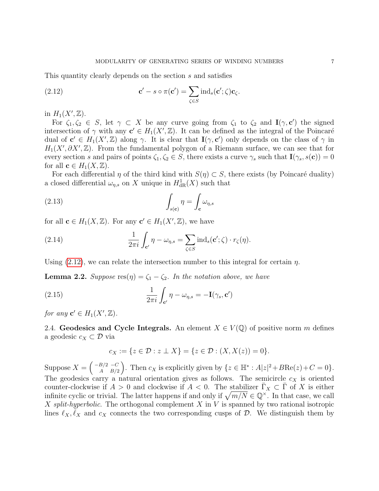This quantity clearly depends on the section s and satisfies

<span id="page-6-0"></span>(2.12) 
$$
\mathbf{c}' - s \circ \pi(\mathbf{c}') = \sum_{\zeta \in S} \text{ind}_s(\mathbf{c}'; \zeta) \mathbf{c}_{\zeta}.
$$

in  $H_1(X',\mathbb{Z})$ .

For  $\zeta_1, \zeta_2 \in S$ , let  $\gamma \subset X$  be any curve going from  $\zeta_1$  to  $\zeta_2$  and  $\mathbf{I}(\gamma, \mathbf{c}')$  the signed intersection of  $\gamma$  with any  $c' \in H_1(X',\mathbb{Z})$ . It can be defined as the integral of the Poincaré dual of  $c' \in H_1(X',\mathbb{Z})$  along  $\gamma$ . It is clear that  $I(\gamma, c')$  only depends on the class of  $\gamma$  in  $H_1(X', \partial X', \mathbb{Z})$ . From the fundamental polygon of a Riemann surface, we can see that for every section s and pairs of points  $\zeta_1, \zeta_2 \in S$ , there exists a curve  $\gamma_s$  such that  $\mathbf{I}(\gamma_s, s(\mathbf{c})) = 0$ for all  $\mathbf{c} \in H_1(X, \mathbb{Z})$ .

For each differential  $\eta$  of the third kind with  $S(\eta) \subset S$ , there exists (by Poincaré duality) a closed differential  $\omega_{\eta,s}$  on X unique in  $H^1_{\text{dR}}(X)$  such that

<span id="page-6-2"></span>(2.13) 
$$
\int_{s(\mathbf{c})} \eta = \int_{\mathbf{c}} \omega_{\eta,s}
$$

for all  $\mathbf{c} \in H_1(X, \mathbb{Z})$ . For any  $\mathbf{c}' \in H_1(X', \mathbb{Z})$ , we have

(2.14) 
$$
\frac{1}{2\pi i} \int_{\mathbf{c}'} \eta - \omega_{\eta,s} = \sum_{\zeta \in S} \operatorname{ind}_s(\mathbf{c}'; \zeta) \cdot r_{\zeta}(\eta).
$$

Using [\(2.12\)](#page-6-0), we can relate the intersection number to this integral for certain  $\eta$ .

<span id="page-6-1"></span>**Lemma 2.2.** Suppose  $res(\eta) = \zeta_1 - \zeta_2$ . In the notation above, we have

(2.15) 
$$
\frac{1}{2\pi i} \int_{\mathbf{c}'} \eta - \omega_{\eta,s} = -\mathbf{I}(\gamma_s, \mathbf{c}')
$$

for any  $\mathbf{c}' \in H_1(X',\mathbb{Z})$ .

2.4. Geodesics and Cycle Integrals. An element  $X \in V(\mathbb{Q})$  of positive norm m defines a geodesic  $c_X \subset \mathcal{D}$  via

$$
c_X := \{ z \in \mathcal{D} : z \perp X \} = \{ z \in \mathcal{D} : (X, X(z)) = 0 \}.
$$

Suppose  $X = \begin{pmatrix} -B/2 & -C \\ A & B/2 \end{pmatrix}$  $A^{B/2 \ -C}_{A \ B/2}$ . Then  $c_X$  is explicitly given by  $\{z \in \mathbb{H}^* : A|z|^2 + B \text{Re}(z) + C = 0\}.$ The geodesics carry a natural orientation gives as follows. The semicircle  $c<sub>X</sub>$  is oriented counter-clockwise if  $A > 0$  and clockwise if  $A < 0$ . The stabilizer  $\overline{\Gamma}_X \subset \overline{\Gamma}$  of X is either infinite cyclic or trivial. The latter happens if and only if  $\sqrt{m/N} \in \mathbb{Q}^{\times}$ . In that case, we call X split-hyperbolic. The orthogonal complement  $X$  in  $V$  is spanned by two rational isotropic lines  $\ell_X, \tilde{\ell}_X$  and  $c_X$  connects the two corresponding cusps of D. We distinguish them by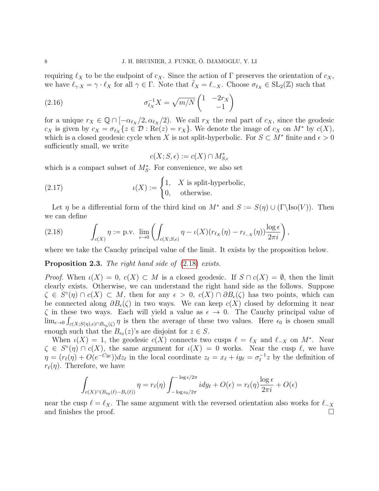requiring  $\ell_X$  to be the endpoint of  $c_X$ . Since the action of Γ preserves the orientation of  $c_X$ , we have  $\ell_{\gamma X} = \gamma \cdot \ell_X$  for all  $\gamma \in \Gamma$ . Note that  $\tilde{\ell}_X = \ell_{-X}$ . Choose  $\sigma_{\ell_X} \in SL_2(\mathbb{Z})$  such that

(2.16) 
$$
\sigma_{\ell_X}^{-1} X = \sqrt{m/N} \begin{pmatrix} 1 & -2r_X \\ & -1 \end{pmatrix}
$$

for a unique  $r_X \in \mathbb{Q} \cap [-\alpha_{\ell_X}/2, \alpha_{\ell_X}/2)$ . We call  $r_X$  the real part of  $c_X$ , since the geodesic  $c_X$  is given by  $c_X = \sigma_{\ell_X} \{ z \in \mathcal{D} : \text{Re}(z) = r_X \}$ . We denote the image of  $c_X$  on  $M^*$  by  $c(X)$ , which is a closed geodesic cycle when X is not split-hyperbolic. For  $S \subset M^*$  finite and  $\epsilon > 0$ sufficiently small, we write

<span id="page-7-2"></span><span id="page-7-1"></span>
$$
c(X; S, \epsilon) := c(X) \cap M^*_{S, \epsilon}
$$

which is a compact subset of  $M_S^*$ . For convenience, we also set

(2.17) 
$$
\iota(X) := \begin{cases} 1, & X \text{ is split-hyperbolic,} \\ 0, & \text{otherwise.} \end{cases}
$$

Let  $\eta$  be a differential form of the third kind on  $M^*$  and  $S := S(\eta) \cup (\Gamma\backslash \text{Iso}(V))$ . Then we can define

<span id="page-7-0"></span>(2.18) 
$$
\int_{c(X)} \eta := \text{p.v. } \lim_{\epsilon \to 0} \left( \int_{c(X;S,\epsilon)} \eta - \iota(X)(r_{\ell_X}(\eta) - r_{\ell_{-X}}(\eta)) \frac{\log \epsilon}{2\pi i} \right),
$$

where we take the Cauchy principal value of the limit. It exists by the proposition below.

# Proposition 2.3. The right hand side of  $(2.18)$  exists.

Proof. When  $\iota(X) = 0$ ,  $c(X) \subset M$  is a closed geodesic. If  $S \cap c(X) = \emptyset$ , then the limit clearly exists. Otherwise, we can understand the right hand side as the follows. Suppose  $\zeta \in S^{\circ}(\eta) \cap c(X) \subset M$ , then for any  $\epsilon > 0$ ,  $c(X) \cap \partial B_{\epsilon}(\zeta)$  has two points, which can be connected along  $\partial B_{\epsilon}(\zeta)$  in two ways. We can keep  $c(X)$  closed by deforming it near  $\zeta$  in these two ways. Each will yield a value as  $\epsilon \to 0$ . The Cauchy principal value of  $\lim_{\epsilon \to 0} \int_{c(X;S(\eta),\epsilon) \cap B_{\epsilon_0}(\zeta)} \eta$  is then the average of these two values. Here  $\epsilon_0$  is chosen small enough such that the  $B_{\epsilon_0}(z)$ 's are disjoint for  $z \in S$ .

When  $\iota(X) = 1$ , the geodesic  $c(X)$  connects two cusps  $\ell = \ell_X$  and  $\ell_{-X}$  on  $M^*$ . Near  $\zeta \in S^{\circ}(\eta) \cap c(X)$ , the same argument for  $\iota(X) = 0$  works. Near the cusp  $\ell$ , we have  $\eta = (r_\ell(\eta) + O(e^{-C y_\ell})) dz_\ell$  in the local coordinate  $z_\ell = x_\ell + iy_\ell = \sigma_\ell^{-1}$  $\int_{\ell}^{-1} z$  by the definition of  $r_{\ell}(\eta)$ . Therefore, we have

$$
\int_{c(X)\cap(B_{\epsilon_0}(\ell)-B_{\epsilon}(\ell))}\eta=r_{\ell}(\eta)\int_{-\log \epsilon_0/2\pi}^{-\log \epsilon/2\pi}i\,dy_{\ell}+O(\epsilon)=r_{\ell}(\eta)\frac{\log \epsilon}{2\pi i}+O(\epsilon)
$$

near the cusp  $\ell = \ell_X$ . The same argument with the reversed orientation also works for  $\ell_{-X}$ and finishes the proof.  $\Box$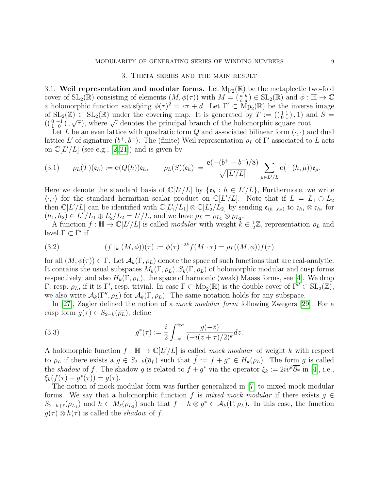### 3. Theta series and the main result

<span id="page-8-0"></span>3.1. Weil representation and modular forms. Let  $Mp_2(\mathbb{R})$  be the metaplectic two-fold cover of  $\text{SL}_2(\mathbb{R})$  consisting of elements  $(M, \phi(\tau))$  with  $M = \begin{pmatrix} a & b \\ c & d \end{pmatrix} \in \text{SL}_2(\mathbb{R})$  and  $\phi : \mathbb{H} \to \mathbb{C}$ a holomorphic function satisfying  $\phi(\tau)^2 = c\tau + d$ . Let  $\Gamma' \subset \text{Mp}_2(\mathbb{R})$  be the inverse image of  $SL_2(\mathbb{Z}) \subset SL_2(\mathbb{R})$  under the covering map. It is generated by  $T := ((\begin{smallmatrix} 1 & 1 \\ 0 & 1 \end{smallmatrix}), 1)$  and  $S =$ of  $SL_2(\mathbb{Z}) \subset SL_2(\mathbb{R})$  under the covering map. It is generated by  $T := (\begin{pmatrix} 0 & -1 \\ 1 & 0 \end{pmatrix}, T)$  and  $((\begin{pmatrix} 0 & -1 \\ 1 & 0 \end{pmatrix}, \sqrt{\tau})$ , where  $\sqrt{\cdot}$  denotes the principal branch of the holomorphic square root.

Let L be an even lattice with quadratic form  $Q$  and associated bilinear form  $(\cdot, \cdot)$  and dual lattice L' of signature  $(b^+, b^-)$ . The (finite) Weil representation  $\rho_L$  of  $\Gamma'$  associated to L acts on  $\mathbb{C}[L'/L]$  (see e.g.,  $[2, 21]$  $[2, 21]$ ) and is given by

(3.1) 
$$
\rho_L(T)(\mathfrak{e}_h) := \mathbf{e}(Q(h))\mathfrak{e}_h, \qquad \rho_L(S)(\mathfrak{e}_h) := \frac{\mathbf{e}(-(b^+ - b^-)/8)}{\sqrt{|L'/L|}} \sum_{\mu \in L'/L} \mathbf{e}(-(h, \mu))\mathfrak{e}_\mu.
$$

Here we denote the standard basis of  $\mathbb{C}[L'/L]$  by  $\{\mathfrak{e}_h : h \in L'/L\}$ , Furthermore, we write  $\langle \cdot, \cdot \rangle$  for the standard hermitian scalar product on  $\mathbb{C}[L/L]$ . Note that if  $L = L_1 \oplus L_2$ then  $\mathbb{C}[L'/L]$  can be identified with  $\mathbb{C}[L_1'/L_1] \otimes \mathbb{C}[L_2'/L_2]$  by sending  $\mathfrak{e}_{(h_1,h_2)}$  to  $\mathfrak{e}_{h_1} \otimes \mathfrak{e}_{h_2}$  for  $(h_1, h_2) \in L'_1/L_1 \oplus L'_2/L_2 = L'/L$ , and we have  $\rho_L = \rho_{L_1} \otimes \rho_{L_2}$ .

A function  $f: \mathbb{H} \to \mathbb{C}[L'/L]$  is called *modular* with weight  $k \in \frac{1}{2}$  $\frac{1}{2}\mathbb{Z}$ , representation  $\rho_L$  and level  $\Gamma \subset \Gamma'$  if

(3.2) 
$$
(f |_{k} (M, \phi))(\tau) := \phi(\tau)^{-2k} f(M \cdot \tau) = \rho_{L}((M, \phi)) f(\tau)
$$

for all  $(M, \phi(\tau)) \in \Gamma$ . Let  $\mathcal{A}_k(\Gamma, \rho_L)$  denote the space of such functions that are real-analytic. It contains the usual subspaces  $M_k(\Gamma, \rho_L)$ ,  $S_k(\Gamma, \rho_L)$  of holomorphic modular and cusp forms respectively, and also  $H_k(\Gamma, \rho_L)$ , the space of harmonic (weak) Maass forms, see [\[4\]](#page-23-6). We drop  $Γ$ , resp.  $ρ$ <sub>L</sub>, if it is Γ', resp. trivial. In case Γ ⊂ Mp<sub>2</sub>(ℝ) is the double cover of Γ'' ⊂ SL<sub>2</sub>(ℤ), we also write  $\mathcal{A}_k(\Gamma'', \rho_L)$  for  $\mathcal{A}_k(\Gamma, \rho_L)$ . The same notation holds for any subspace.

In [\[27\]](#page-24-8), Zagier defined the notion of a *mock modular form* following Zwegers [\[29\]](#page-24-7). For a cusp form  $g(\tau) \in S_{2-k}(\overline{\rho_L})$ , define

(3.3) 
$$
g^*(\tau) := \frac{i}{2} \int_{-\overline{\tau}}^{i\infty} \frac{\overline{g(-\overline{z})}}{(-i(z+\tau)/2)^k} dz.
$$

A holomorphic function  $f : \mathbb{H} \to \mathbb{C}[L/L]$  is called mock modular of weight k with respect to  $\rho_L$  if there exists a  $g \in S_{2-k}(\overline{\rho}_L)$  such that  $\tilde{f} := f + g^* \in H_k(\rho_L)$ . The form g is called the shadow of f. The shadow g is related to  $f + g^*$  via the operator  $\xi_k := 2iv^k\overline{\partial_{\overline{\tau}}}$  in [\[4\]](#page-23-6), i.e.,  $\xi_k(f(\tau) + g^*(\tau)) = g(\tau).$ 

The notion of mock modular form was further generalized in [\[7\]](#page-23-1) to mixed mock modular forms. We say that a holomorphic function f is mixed mock modular if there exists  $g \in$  $S_{2-k+\ell}(\rho_{L_1})$  and  $h \in M_{\ell}(\rho_{L_2})$  such that  $f + h \otimes g^* \in \mathcal{A}_k(\Gamma, \rho_L)$ . In this case, the function  $g(\tau) \otimes h(\tau)$  is called the shadow of f.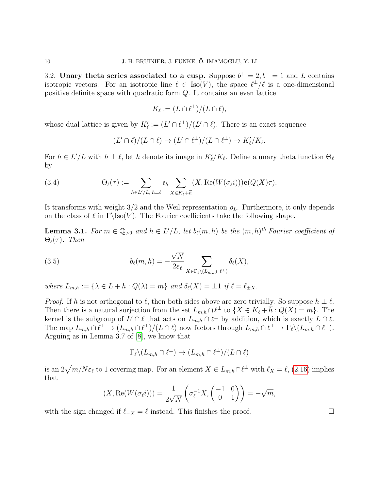3.2. Unary theta series associated to a cusp. Suppose  $b^+ = 2, b^- = 1$  and L contains isotropic vectors. For an isotropic line  $\ell \in Iso(V)$ , the space  $\ell^{\perp}/\ell$  is a one-dimensional positive definite space with quadratic form Q. It contains an even lattice

$$
K_{\ell} := (L \cap \ell^{\perp})/(L \cap \ell),
$$

whose dual lattice is given by  $K'_\ell := (L' \cap \ell^{\perp})/(L' \cap \ell)$ . There is an exact sequence

$$
(L' \cap \ell)/(L \cap \ell) \to (L' \cap \ell^{\perp})/(L \cap \ell^{\perp}) \to K'_{\ell}/K_{\ell}.
$$

For  $h \in L'/L$  with  $h \perp \ell$ , let  $\overline{h}$  denote its image in  $K'_{\ell}/K_{\ell}$ . Define a unary theta function  $\Theta_{\ell}$ by

(3.4) 
$$
\Theta_{\ell}(\tau) := \sum_{h \in L'/L, h \perp \ell} \mathfrak{e}_h \sum_{X \in K_{\ell} + \overline{h}} (X, \text{Re}(W(\sigma_{\ell}i))) \mathbf{e}(Q(X)\tau).
$$

It transforms with weight  $3/2$  and the Weil representation  $\rho_L$ . Furthermore, it only depends on the class of  $\ell$  in Γ\Iso(V). The Fourier coefficients take the following shape.

<span id="page-9-0"></span>**Lemma 3.1.** For  $m \in \mathbb{Q}_{>0}$  and  $h \in L'/L$ , let  $b_{\ell}(m, h)$  be the  $(m, h)^{th}$  Fourier coefficient of  $\Theta_{\ell}(\tau)$ . Then

(3.5) 
$$
b_{\ell}(m,h) = -\frac{\sqrt{N}}{2\varepsilon_{\ell}} \sum_{X \in \Gamma_{\ell} \setminus (L_{m,h} \cap \ell^{\perp})} \delta_{\ell}(X),
$$

where  $L_{m,h} := \{ \lambda \in L + h : Q(\lambda) = m \}$  and  $\delta_{\ell}(X) = \pm 1$  if  $\ell = \ell_{\pm X}$ .

*Proof.* If h is not orthogonal to  $\ell$ , then both sides above are zero trivially. So suppose  $h \perp \ell$ . Then there is a natural surjection from the set  $L_{m,h} \cap \ell^{\perp}$  to  $\{X \in K_{\ell} + \overline{h} : Q(X) = m\}$ . The kernel is the subgroup of  $L' \cap \ell$  that acts on  $L_{m,h} \cap \ell^{\perp}$  by addition, which is exactly  $L \cap \ell$ . The map  $L_{m,h} \cap \ell^{\perp} \to (L_{m,h} \cap \ell^{\perp})/(L \cap \ell)$  now factors through  $L_{m,h} \cap \ell^{\perp} \to \Gamma_{\ell} \setminus (L_{m,h} \cap \ell^{\perp})$ . Arguing as in Lemma 3.7 of [\[8\]](#page-23-7), we know that

$$
\Gamma_{\ell} \backslash (L_{m,h} \cap \ell^{\perp}) \to (L_{m,h} \cap \ell^{\perp})/(L \cap \ell)
$$

is an  $2\sqrt{m/N}\varepsilon_\ell$  to 1 covering map. For an element  $X \in L_{m,h}\cap \ell^\perp$  with  $\ell_X = \ell$ , [\(2.16\)](#page-7-1) implies that

$$
(X, \text{Re}(W(\sigma_{\ell}i))) = \frac{1}{2\sqrt{N}} \left( \sigma_{\ell}^{-1} X, \begin{pmatrix} -1 & 0 \\ 0 & 1 \end{pmatrix} \right) = -\sqrt{m},
$$

with the sign changed if  $\ell_{-X} = \ell$  instead. This finishes the proof.  $\Box$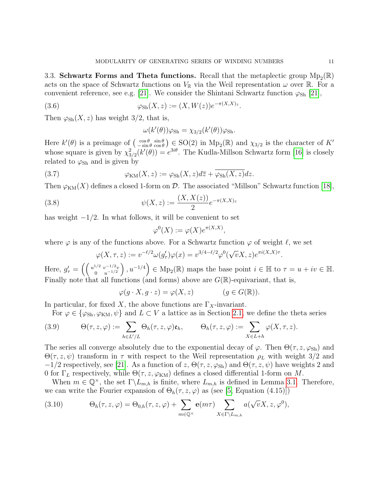3.3. Schwartz Forms and Theta functions. Recall that the metaplectic group  $Mp_2(\mathbb{R})$ acts on the space of Schwartz functions on  $V_{\mathbb{R}}$  via the Weil representation  $\omega$  over  $\mathbb{R}$ . For a convenient reference, see e.g. [\[21\]](#page-24-0). We consider the Shintani Schwartz function  $\varphi_{\rm Sh}$  [\[21\]](#page-24-0),

(3.6) 
$$
\varphi_{\text{Sh}}(X, z) := (X, W(z))e^{-\pi(X, X)_z}.
$$

Then  $\varphi_{\text{Sh}}(X, z)$  has weight 3/2, that is,

$$
\omega(k'(\theta))\varphi_{\mathrm{Sh}} = \chi_{3/2}(k'(\theta))\varphi_{\mathrm{Sh}}.
$$

Here  $k'(\theta)$  is a preimage of  $\begin{pmatrix} \cos \theta & \sin \theta \\ -\sin \theta & \cos \theta \end{pmatrix} \in SO(2)$  in  $Mp_2(\mathbb{R})$  and  $\chi_{3/2}$  is the character of  $K'$ whose square is given by  $\chi_{3/2}^2(k'(\theta)) = e^{3i\theta}$ . The Kudla-Millson Schwartz form [\[16\]](#page-24-9) is closely related to  $\varphi_{\rm Sh}$  and is given by

(3.7) 
$$
\varphi_{\text{KM}}(X,z) := \varphi_{\text{Sh}}(X,z)d\overline{z} + \overline{\varphi_{\text{Sh}}(X,z)}dz.
$$

Then  $\varphi_{KM}(X)$  defines a closed 1-form on D. The associated "Millson" Schwartz function [\[18\]](#page-24-3),

(3.8) 
$$
\psi(X, z) := \frac{(X, X(z))}{2} e^{-\pi(X, X)z}
$$

has weight  $-1/2$ . In what follows, it will be convenient to set

$$
\varphi^0(X) := \varphi(X)e^{\pi(X,X)},
$$

where  $\varphi$  is any of the functions above. For a Schwartz function  $\varphi$  of weight  $\ell$ , we set

$$
\varphi(X,\tau,z) := v^{-\ell/2} \omega(g_{\tau}') \varphi(x) = v^{3/4 - \ell/2} \varphi^0(\sqrt{v}X,z) e^{\pi i (X,X)\tau}
$$

Here,  $g'_{\tau} = \left( \begin{array}{cc} u^{1/2} \ v^{-1/2}v^{1/2} & u^{-1/2} \end{array} \right)$ 0  $u^{-1/2}$  $\left( \theta \right)$ ,  $u^{-1/4}$   $\in$  Mp<sub>2</sub>( $\mathbb{R}$ ) maps the base point  $i \in \mathbb{H}$  to  $\tau = u + iv \in \mathbb{H}$ . Finally note that all functions (and forms) above are  $G(\mathbb{R})$ -equivariant, that is,

$$
\varphi(g \cdot X, g \cdot z) = \varphi(X, z) \qquad (g \in G(\mathbb{R})).
$$

In particular, for fixed X, the above functions are  $\Gamma_X$ -invariant.

For  $\varphi \in {\varphi_{\text{Sh}}}$ ,  $\varphi_{\text{KM}}$ ,  $\psi$  and  $L \subset V$  a lattice as in Section [2.1,](#page-2-1) we define the theta series

(3.9) 
$$
\Theta(\tau,z,\varphi):=\sum_{h\in L'/L}\Theta_h(\tau,z,\varphi)\mathfrak{e}_h,\qquad \Theta_h(\tau,z,\varphi):=\sum_{X\in L+h}\varphi(X,\tau,z).
$$

The series all converge absolutely due to the exponential decay of  $\varphi$ . Then  $\Theta(\tau, z, \varphi_{\text{Sh}})$  and  $\Theta(\tau, z, \psi)$  transform in  $\tau$  with respect to the Weil representation  $\rho_L$  with weight 3/2 and  $-1/2$  respectively, see [\[21\]](#page-24-0). As a function of z,  $\Theta(\tau, z, \varphi_{\rm Sh})$  and  $\Theta(\tau, z, \psi)$  have weights 2 and 0 for  $\Gamma_L$  respectively, while  $\Theta(\tau, z, \varphi_{KM})$  defines a closed differential 1-form on M.

When  $m \in \mathbb{Q}^{\times}$ , the set  $\Gamma \backslash L_{m,h}$  is finite, where  $L_{m,h}$  is defined in Lemma [3.1.](#page-9-0) Therefore, we can write the Fourier expansion of  $\Theta_h(\tau, z, \varphi)$  as (see [\[5,](#page-23-8) Equation (4.15)])

<span id="page-10-0"></span>(3.10) 
$$
\Theta_h(\tau, z, \varphi) = \Theta_{0,h}(\tau, z, \varphi) + \sum_{m \in \mathbb{Q}^\times} \mathbf{e}(m\tau) \sum_{X \in \Gamma \backslash L_{m,h}} a(\sqrt{v}X, z, \varphi^0),
$$

.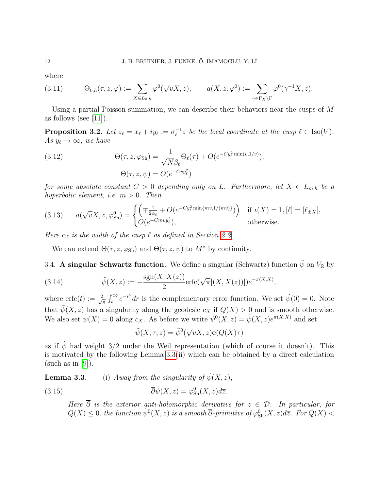where

<span id="page-11-1"></span>(3.11) 
$$
\Theta_{0,h}(\tau,z,\varphi) := \sum_{X \in L_{0,h}} \varphi^0(\sqrt{v}X,z), \qquad a(X,z,\varphi^0) := \sum_{\gamma \in \Gamma_X \backslash \Gamma} \varphi^0(\gamma^{-1}X,z).
$$

Using a partial Poisson summation, we can describe their behaviors near the cusps of  $M$ as follows (see  $[11]$ ).

<span id="page-11-0"></span>Proposition 3.2. Let  $z_\ell = x_\ell + iy_\ell := \sigma_\ell^{-1}$  $e^{-1}z$  be the local coordinate at the cusp  $\ell \in \text{Iso}(V)$ . As  $y_{\ell} \to \infty$ , we have

(3.12) 
$$
\Theta(\tau, z, \varphi_{\text{Sh}}) = \frac{1}{\sqrt{N} \beta_{\ell}} \Theta_{\ell}(\tau) + O(e^{-C y_{\ell}^2 \min(v, 1/v)}),
$$

$$
\Theta(\tau, z, \psi) = O(e^{-C v y_{\ell}^2})
$$

for some absolute constant  $C > 0$  depending only on L. Furthermore, let  $X \in L_{m,h}$  be a hyperbolic element, i.e.  $m > 0$ . Then

(3.13) 
$$
a(\sqrt{v}X, z, \varphi_{\text{Sh}}^0) = \begin{cases} \left( \mp \frac{1}{2\alpha_\ell} + O(e^{-Cy_\ell^2 \min\{mv, 1/(mv)\}}) \right) & \text{if } \iota(X) = 1, [\ell] = [\ell_{\pm X}], \\ O(e^{-Cmvy_\ell^2}), & \text{otherwise.} \end{cases}
$$

Here  $\alpha_{\ell}$  is the width of the cusp  $\ell$  as defined in Section [2.2.](#page-4-0)

We can extend  $\Theta(\tau, z, \varphi_{\text{Sh}})$  and  $\Theta(\tau, z, \psi)$  to  $M^*$  by continuity.

3.4. A singular Schwartz function. We define a singular (Schwartz) function  $\tilde{\psi}$  on  $V_{\mathbb{R}}$  by

<span id="page-11-2"></span>(3.14) 
$$
\tilde{\psi}(X, z) := -\frac{\text{sgn}(X, X(z))}{2} \text{erfc}(\sqrt{\pi} |(X, X(z))|) e^{-\pi(X, X)},
$$

where  $erfc(t) := \frac{2}{\sqrt{t}}$  $\frac{1}{\pi} \int_t^{\infty} e^{-r^2} dr$  is the complementary error function. We set  $\tilde{\psi}(0) = 0$ . Note that  $\tilde{\psi}(X, z)$  has a singularity along the geodesic  $c_X$  if  $Q(X) > 0$  and is smooth otherwise. We also set  $\tilde{\psi}(X) = 0$  along  $c_X$ . As before we write  $\tilde{\psi}^0(X, z) = \tilde{\psi}(X, z)e^{\pi(X, X)}$  and set

 $\tilde{\psi}(X,\tau,z)=\tilde{\psi}^0($ √  $\overline{v}X,z)$ e $(Q(X)\tau)$ 

as if  $\tilde{\psi}$  had weight 3/2 under the Weil representation (which of course it doesn't). This is motivated by the following Lemma [3.3\(](#page-0-0)ii) which can be obtained by a direct calculation (such as in  $|9|$ ).

**Lemma 3.3.** (i) Away from the singularity of  $\tilde{\psi}(X, z)$ ,

(3.15)  $\overline{\partial}\tilde{\psi}(X,z) = \varphi_{\text{Sh}}^0(X,z)d\overline{z}.$ 

Here  $\overline{\partial}$  is the exterior anti-holomorphic derivative for  $z \in \mathcal{D}$ . In particular, for  $Q(X) \leq 0$ , the function  $\tilde{\psi}^0(X, z)$  is a smooth  $\overline{\partial}$ -primitive of  $\varphi^0_{\rm Sh}(X, z)d\overline{z}$ . For  $Q(X) <$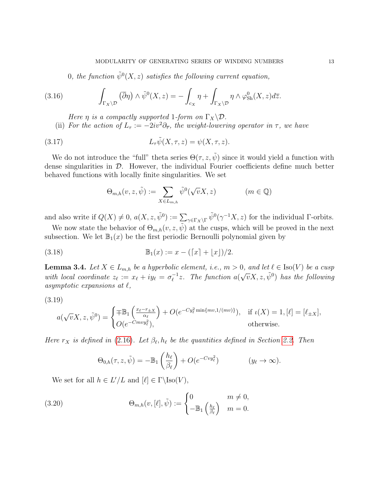0, the function  $\tilde{\psi}^0(X,z)$  satisfies the following current equation,

(3.16) 
$$
\int_{\Gamma_X \backslash \mathcal{D}} (\overline{\partial} \eta) \wedge \tilde{\psi}^0(X, z) = - \int_{c_X} \eta + \int_{\Gamma_X \backslash \mathcal{D}} \eta \wedge \varphi^0_{\text{Sh}}(X, z) dz.
$$

- Here  $\eta$  is a compactly supported 1-form on  $\Gamma_X \backslash \mathcal{D}$ .
- (ii) For the action of  $L_{\tau} := -2iv^2\partial_{\overline{\tau}},$  the weight-lowering operator in  $\tau$ , we have

(3.17) 
$$
L_{\tau}\tilde{\psi}(X,\tau,z)=\psi(X,\tau,z).
$$

We do not introduce the "full" theta series  $\Theta(\tau, z, \tilde{\psi})$  since it would yield a function with dense singularities in  $\mathcal{D}$ . However, the individual Fourier coefficients define much better behaved functions with locally finite singularities. We set

$$
\Theta_{m,h}(v,z,\tilde{\psi}) := \sum_{X \in L_{m,h}} \tilde{\psi}^0(\sqrt{v}X,z) \qquad (m \in \mathbb{Q})
$$

and also write if  $Q(X) \neq 0$ ,  $a(X, z, \tilde{\psi}^0) := \sum_{\gamma \in \Gamma_X \backslash \Gamma} \tilde{\psi}^0(\gamma^{-1}X, z)$  for the individual  $\Gamma$ -orbits.

We now state the behavior of  $\Theta_{m,h}(v, z, \tilde{\psi})$  at the cusps, which will be proved in the next subsection. We let  $\mathbb{B}_1(x)$  be the first periodic Bernoulli polynomial given by

(3.18) 
$$
\mathbb{B}_1(x) := x - (\lceil x \rceil + \lfloor x \rfloor)/2.
$$

<span id="page-12-0"></span>**Lemma 3.4.** Let  $X \in L_{m,h}$  be a hyperbolic element, i.e.,  $m > 0$ , and let  $\ell \in \text{Iso}(V)$  be a cusp with local coordinate  $z_{\ell} := x_{\ell} + iy_{\ell} = \sigma_{\ell}^{-1}$  $\bar{\psi}_\ell^{-1}z$ . The function  $a(\sqrt{v}X, z, \tilde{\psi}^0)$  has the following asymptotic expansions at  $\ell$ ,

$$
(3.19)
$$

$$
a(\sqrt{v}X, z, \tilde{\psi}^0) = \begin{cases} \mp \mathbb{B}_1\left(\frac{x_\ell - r_{\pm X}}{\alpha_\ell}\right) + O(e^{-Cy_\ell^2 \min\{mv, 1/(mv)\}}), & \text{if } \iota(X) = 1, [\ell] = [\ell_{\pm X}],\\ O(e^{-Cmv_y^2}), & \text{otherwise.} \end{cases}
$$

Here  $r_X$  is defined in [\(2.16\)](#page-7-1). Let  $\beta_\ell, h_\ell$  be the quantities defined in Section [2.2.](#page-4-0) Then

$$
\Theta_{0,h}(\tau,z,\tilde{\psi}) = -\mathbb{B}_1\left(\frac{h_{\ell}}{\beta_{\ell}}\right) + O(e^{-Cvy_{\ell}^2}) \qquad (y_{\ell} \to \infty).
$$

We set for all  $h \in L'/L$  and  $[\ell] \in \Gamma \setminus \text{Iso}(V)$ ,

<span id="page-12-1"></span>(3.20) 
$$
\Theta_{m,h}(v,[\ell],\tilde{\psi}) := \begin{cases} 0 & m \neq 0, \\ -\mathbb{B}_1\left(\frac{h_\ell}{\beta_\ell}\right) & m = 0. \end{cases}
$$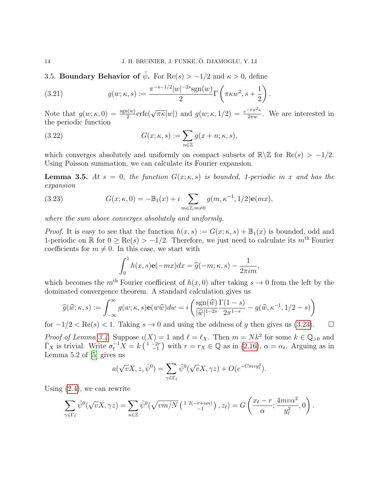<span id="page-13-2"></span>3.5. Boundary Behavior of  $\tilde{\psi}$ . For Re(s) > -1/2 and  $\kappa > 0$ , define

(3.21) 
$$
g(w; \kappa, s) := \frac{\pi^{-s-1/2}|w|^{-2s}\text{sgn}(w)}{2} \Gamma\left(\pi\kappa w^2, s + \frac{1}{2}\right).
$$

Note that  $g(w; \kappa, 0) = \frac{\text{sgn}(w)}{2} \text{erfc}(\sqrt{\pi \kappa} |w|)$  and  $g(w; \kappa, 1/2) = \frac{e^{-\pi w^2 \kappa}}{2\pi w}$ . We are interested in the periodic function

(3.22) 
$$
G(x; \kappa, s) := \sum_{n \in \mathbb{Z}} g(x + n; \kappa, s),
$$

which converges absolutely and uniformly on compact subsets of  $\mathbb{R}\backslash\mathbb{Z}$  for  $\text{Re}(s) > -1/2$ . Using Poisson summation, we can calculate its Fourier expansion.

<span id="page-13-1"></span>**Lemma 3.5.** At  $s = 0$ , the function  $G(x; \kappa, s)$  is bounded, 1-periodic in x and has the expansion

<span id="page-13-0"></span>(3.23) 
$$
G(x; \kappa, 0) = -\mathbb{B}_1(x) + i \sum_{m \in \mathbb{Z}, m \neq 0} g(m, \kappa^{-1}, 1/2) \mathbf{e}(mx),
$$

where the sum above converges absolutely and uniformly.

*Proof.* It is easy to see that the function  $h(x, s) := G(x; \kappa, s) + \mathbb{B}_1(x)$  is bounded, odd and 1-periodic on R for  $0 \ge \text{Re}(s) > -1/2$ . Therefore, we just need to calculate its  $m^{\text{th}}$  Fourier coefficients for  $m \neq 0$ . In this case, we start with

$$
\int_0^1 h(x,s)\mathbf{e}(-mx)dx = \hat{g}(-m;\kappa,s) - \frac{1}{2\pi im},
$$

which becomes the m<sup>th</sup> Fourier coefficient of  $h(x, 0)$  after taking  $s \to 0$  from the left by the dominated convergence theorem. A standard calculation gives us

$$
\widehat{g}(\widehat{w}; \kappa, s) := \int_{-\infty}^{\infty} g(w; \kappa, s) \mathbf{e}(w\widehat{w}) dw = i \left( \frac{\operatorname{sgn}(\widehat{w})}{|\widehat{w}|^{1-2s}} \frac{\Gamma(1-s)}{2\pi^{1-s}} - g(\widehat{w}, \kappa^{-1}, 1/2 - s) \right)
$$

for  $-1/2 < \text{Re}(s) < 1$ . Taking  $s \to 0$  and using the oddness of g then gives us [\(3.23\)](#page-13-0).  $\Box$ 

*Proof of Lemma [3.4.](#page-12-0)* Suppose  $\iota(X) = 1$  and  $\ell = \ell_X$ . Then  $m = N k^2$  for some  $k \in \mathbb{Q}_{>0}$  and  $\overline{\Gamma}_X$  is trivial. Write  $\sigma_\ell^{-1} \overline{X} = k \left( \begin{array}{c} 1 & -2r \\ -1 & 1 \end{array} \right)$  with  $r = r_X \in \mathbb{Q}$  as in  $(2.16)$ ,  $\alpha = \alpha_\ell$ . Arguing as in Lemma 5.2 of [\[5\]](#page-23-8) gives us

$$
a(\sqrt{v}X, z, \tilde{\psi}^0) = \sum_{\gamma \in \Gamma_{\ell}} \tilde{\psi}^0(\sqrt{v}X, \gamma z) + O(e^{-Cmv y_{\ell}^2}).
$$

Using [\(2.4\)](#page-4-1), we can rewrite

$$
\sum_{\gamma \in \Gamma_{\ell}} \tilde{\psi}^0(\sqrt{\nu}X, \gamma z) = \sum_{n \in \mathbb{Z}} \tilde{\psi}^0(\sqrt{vm/N} \left( \begin{array}{c} 1 & 2(-r + \alpha n) \\ -1 \end{array} \right), z_{\ell}) = G\left(\frac{x_{\ell} - r}{\alpha}; \frac{4mv\alpha^2}{y_{\ell}^2}, 0\right).
$$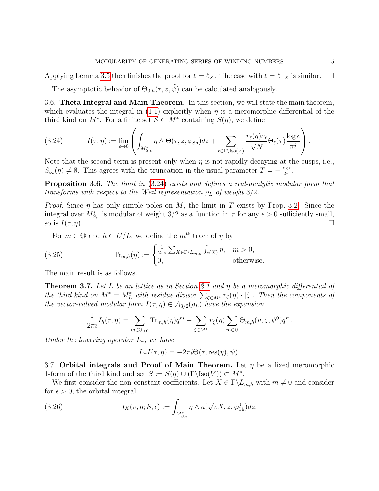Applying Lemma [3.5](#page-13-1) then finishes the proof for  $\ell = \ell_X$ . The case with  $\ell = \ell_X$  is similar.  $\Box$ 

The asymptotic behavior of  $\Theta_{0,h}(\tau,z,\tilde{\psi})$  can be calculated analogously.

3.6. Theta Integral and Main Theorem. In this section, we will state the main theorem, which evaluates the integral in [\(1.1\)](#page-0-1) explicitly when  $\eta$  is a meromorphic differential of the third kind on  $M^*$ . For a finite set  $S \subset M^*$  containing  $S(\eta)$ , we define

<span id="page-14-0"></span>(3.24) 
$$
I(\tau, \eta) := \lim_{\epsilon \to 0} \left( \int_{M_{S,\epsilon}^*} \eta \wedge \Theta(\tau, z, \varphi_{\text{Sh}}) d\overline{z} + \sum_{\ell \in \Gamma \backslash \text{Iso}(V)} \frac{r_{\ell}(\eta) \varepsilon_{\ell}}{\sqrt{N}} \Theta_{\ell}(\tau) \frac{\log \epsilon}{\pi i} \right).
$$

Note that the second term is present only when  $\eta$  is not rapidly decaying at the cusps, i.e.,  $S_{\infty}(\eta) \neq \emptyset$ . This agrees with the truncation in the usual parameter  $T = -\frac{\log \epsilon}{2\pi}$ <u>οg  $\frac{\epsilon}{2\pi}$ </u>.

Proposition 3.6. The limit in  $(3.24)$  exists and defines a real-analytic modular form that transforms with respect to the Weil representation  $\rho_L$  of weight 3/2.

*Proof.* Since  $\eta$  has only simple poles on M, the limit in T exists by Prop. [3.2.](#page-11-0) Since the integral over  $M_{S,\epsilon}^*$  is modular of weight 3/2 as a function in  $\tau$  for any  $\epsilon > 0$  sufficiently small, so is  $I(\tau, \eta)$ .

<span id="page-14-2"></span>For  $m \in \mathbb{Q}$  and  $h \in L'/L$ , we define the  $m^{\text{th}}$  trace of  $\eta$  by

(3.25) 
$$
\text{Tr}_{m,h}(\eta) := \begin{cases} \frac{1}{2\pi i} \sum_{X \in \Gamma \backslash L_{m,h}} \int_{c(X)} \eta, & m > 0, \\ 0, & \text{otherwise.} \end{cases}
$$

The main result is as follows.

<span id="page-14-1"></span>**Theorem 3.7.** Let L be an lattice as in Section [2.1](#page-2-1) and  $\eta$  be a meromorphic differential of the third kind on  $M^* = M_L^*$  with residue divisor  $\sum_{\zeta \in M^*} r_{\zeta}(\eta) \cdot [\zeta]$ . Then the components of the vector-valued modular form  $I(\tau, \eta) \in \mathcal{A}_{3/2}(\rho_L)$  have the expansion

$$
\frac{1}{2\pi i}I_h(\tau,\eta) = \sum_{m\in\mathbb{Q}_{>0}} \text{Tr}_{m,h}(\eta)q^m - \sum_{\zeta\in M^*} r_{\zeta}(\eta) \sum_{m\in\mathbb{Q}} \Theta_{m,h}(\nu,\zeta,\tilde{\psi}^0)q^m.
$$

Under the lowering operator  $L_{\tau}$ , we have

$$
L_{\tau}I(\tau,\eta) = -2\pi i \Theta(\tau,\text{res}(\eta),\psi).
$$

3.7. Orbital integrals and Proof of Main Theorem. Let  $\eta$  be a fixed meromorphic 1-form of the third kind and set  $S := S(\eta) \cup (\Gamma \setminus \text{Iso}(V)) \subset M^*$ .

We first consider the non-constant coefficients. Let  $X \in \Gamma \backslash L_{m,h}$  with  $m \neq 0$  and consider for  $\epsilon > 0$ , the orbital integral

(3.26) 
$$
I_X(v, \eta; S, \epsilon) := \int_{M_{S,\epsilon}^*} \eta \wedge a(\sqrt{v}X, z, \varphi_{\text{Sh}}^0) d\overline{z},
$$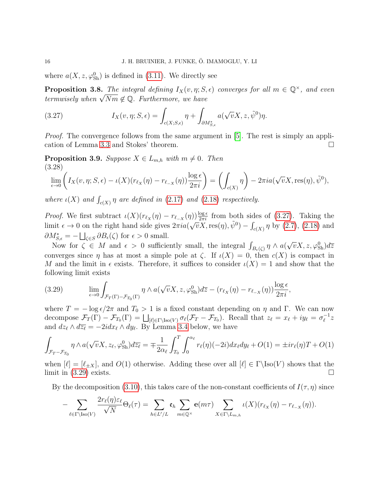where  $a(X, z, \varphi_{\text{Sh}}^0)$  is defined in [\(3.11\)](#page-11-1). We directly see

<span id="page-15-2"></span>**Proposition 3.8.** The integral defining  $I_X(v, \eta; S, \epsilon)$  converges for all  $m \in \mathbb{Q}^{\times}$ , and even **Proposition 5.8.** The integral defining  $I_X(v, \eta; S$ ,<br>termwisely when  $\sqrt{Nm} \notin \mathbb{Q}$ . Furthermore, we have

<span id="page-15-0"></span>(3.27) 
$$
I_X(v, \eta; S, \epsilon) = \int_{c(X; S, \epsilon)} \eta + \int_{\partial M^*_{S, \epsilon}} a(\sqrt{v}X, z, \tilde{\psi}^0) \eta.
$$

Proof. The convergence follows from the same argument in [\[5\]](#page-23-8). The rest is simply an application of Lemma [3.3](#page-0-0) and Stokes' theorem.

**Proposition 3.9.** Suppose  $X \in L_{m,h}$  with  $m \neq 0$ . Then (3.28)

$$
\lim_{\epsilon \to 0} \left( I_X(v, \eta; S, \epsilon) - \iota(X)(r_{\ell_X}(\eta) - r_{\ell_{-X}}(\eta)) \frac{\log \epsilon}{2\pi i} \right) = \left( \int_{c(X)} \eta \right) - 2\pi i a(\sqrt{v}X, \text{res}(\eta), \tilde{\psi}^0),
$$

where  $\iota(X)$  and  $\int_{c(X)} \eta$  are defined in [\(2.17\)](#page-7-2) and [\(2.18\)](#page-7-0) respectively.

*Proof.* We first subtract  $\iota(X)(r_{\ell_X}(\eta) - r_{\ell_{-X}}(\eta))\frac{\log \epsilon}{2\pi i}$  from both sides of [\(3.27\)](#page-15-0). Taking the limit  $\epsilon \to 0$  on the right hand side gives  $2\pi i a(\sqrt{v}X,\text{res}(\eta),\tilde{\psi}^0) - \int_{c(X)} \eta$  by [\(2.7\)](#page-5-1), [\(2.18\)](#page-7-0) and  $\partial M_{S,\epsilon}^* = -\bigsqcup_{\zeta \in S} \partial B_{\epsilon}(\zeta)$  for  $\epsilon > 0$  small.

Now for  $\zeta \in M$  and  $\epsilon > 0$  sufficiently small, the integral  $\int_{B_{\epsilon}(\zeta)} \eta \wedge a(\zeta)$  $\sqrt{v}X, z, \varphi_{\rm Sh}^{0})d\overline{z}$ converges since  $\eta$  has at most a simple pole at  $\zeta$ . If  $\iota(X) = 0$ , then  $c(X)$  is compact in M and the limit in  $\epsilon$  exists. Therefore, it suffices to consider  $\iota(X) = 1$  and show that the following limit exists

<span id="page-15-1"></span>(3.29) 
$$
\lim_{\epsilon \to 0} \int_{\mathcal{F}_T(\Gamma) - \mathcal{F}_{T_0}(\Gamma)} \eta \wedge a(\sqrt{v}X, z, \varphi_{\text{Sh}}^0) d\overline{z} - (r_{\ell_X}(\eta) - r_{\ell_{-X}}(\eta)) \frac{\log \epsilon}{2\pi i},
$$

where  $T = -\log \epsilon/2\pi$  and  $T_0 > 1$  is a fixed constant depending on  $\eta$  and  $\Gamma$ . We can now decompose  $\mathcal{F}_T(\Gamma) - \mathcal{F}_{T_0}(\Gamma) = \bigsqcup_{\lvert \ell \rvert \in \Gamma \setminus \text{Iso}(V)} \sigma_{\ell}(\mathcal{F}_T - \mathcal{F}_{T_0}).$  Recall that  $z_{\ell} = x_{\ell} + iy_{\ell} = \sigma_{\ell}^{-1}$  $\frac{1}{\ell}z$ and  $dz_{\ell} \wedge d\overline{z_{\ell}} = -2idx_{\ell} \wedge dy_{\ell}$ . By Lemma [3.4](#page-12-0) below, we have

$$
\int_{\mathcal{F}_T - \mathcal{F}_{T_0}} \eta \wedge a(\sqrt{v}X, z_\ell, \varphi_{\text{Sh}}^0) d\overline{z_\ell} = \pm \frac{1}{2\alpha_\ell} \int_{T_0}^T \int_0^{\alpha_\ell} r_\ell(\eta) (-2i) dx_\ell dy_\ell + O(1) = \pm i r_\ell(\eta) T + O(1)
$$

when  $[\ell] = [\ell_{\pm X}]$ , and  $O(1)$  otherwise. Adding these over all  $[\ell] \in \Gamma\backslash \text{Iso}(V)$  shows that the limit in  $(3.29)$  exists.

By the decomposition [\(3.10\)](#page-10-0), this takes care of the non-constant coefficients of  $I(\tau, \eta)$  since

$$
-\sum_{\ell \in \Gamma \backslash \text{Iso}(V)} \frac{2r_{\ell}(\eta)\varepsilon_{\ell}}{\sqrt{N}} \Theta_{\ell}(\tau) = \sum_{h \in L'/L} \mathfrak{e}_h \sum_{m \in \mathbb{Q}^{\times}} \mathbf{e}(m\tau) \sum_{X \in \Gamma \backslash L_{m,h}} \iota(X)(r_{\ell_X}(\eta) - r_{\ell_{-X}}(\eta)).
$$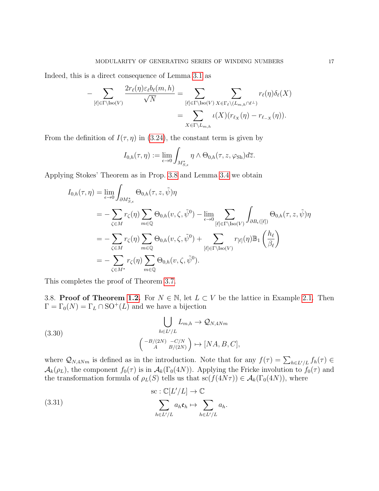Indeed, this is a direct consequence of Lemma [3.1](#page-9-0) as

$$
-\sum_{[\ell] \in \Gamma \backslash \text{Iso}(V)} \frac{2r_{\ell}(\eta) \varepsilon_{\ell} b_{\ell}(m,h)}{\sqrt{N}} = \sum_{[\ell] \in \Gamma \backslash \text{Iso}(V)} \sum_{X \in \Gamma_{\ell} \backslash (L_{m,h} \cap \ell^{\perp})} r_{\ell}(\eta) \delta_{\ell}(X)
$$

$$
= \sum_{X \in \Gamma \backslash L_{m,h}} \iota(X)(r_{\ell_X}(\eta) - r_{\ell_{-X}}(\eta)).
$$

From the definition of  $I(\tau, \eta)$  in [\(3.24\)](#page-14-0), the constant term is given by

$$
I_{0,h}(\tau,\eta) := \lim_{\epsilon \to 0} \int_{M_{S,\epsilon}^*} \eta \wedge \Theta_{0,h}(\tau,z,\varphi_{\text{Sh}}) d\overline{z}.
$$

Applying Stokes' Theorem as in Prop. [3.8](#page-15-2) and Lemma [3.4](#page-12-0) we obtain

$$
I_{0,h}(\tau,\eta) = \lim_{\epsilon \to 0} \int_{\partial M_{S,\epsilon}^*} \Theta_{0,h}(\tau,z,\tilde{\psi})\eta
$$
  
\n
$$
= -\sum_{\zeta \in M} r_{\zeta}(\eta) \sum_{m \in \mathbb{Q}} \Theta_{0,h}(v,\zeta,\tilde{\psi}^0) - \lim_{\epsilon \to 0} \sum_{[\ell] \in \Gamma \backslash \text{Iso}(V)} \int_{\partial B_{\epsilon}([\ell])} \Theta_{0,h}(\tau,z,\tilde{\psi})\eta
$$
  
\n
$$
= -\sum_{\zeta \in M} r_{\zeta}(\eta) \sum_{m \in \mathbb{Q}} \Theta_{0,h}(v,\zeta,\tilde{\psi}^0) + \sum_{[\ell] \in \Gamma \backslash \text{Iso}(V)} r_{[\ell]}(\eta) \mathbb{B}_1 \left(\frac{h_{\ell}}{\beta_{\ell}}\right)
$$
  
\n
$$
= -\sum_{\zeta \in M^*} r_{\zeta}(\eta) \sum_{m \in \mathbb{Q}} \Theta_{0,h}(v,\zeta,\tilde{\psi}^0).
$$

This completes the proof of Theorem [3.7.](#page-14-1)

3.8. Proof of Theorem [1.2.](#page-1-1) For  $N \in \mathbb{N}$ , let  $L \subset V$  be the lattice in Example [2.1.](#page-3-0) Then  $\Gamma = \Gamma_0(N) = \Gamma_L \cap \mathrm{SO}^+(L)$  and we have a bijection

<span id="page-16-0"></span>(3.30)  

$$
\bigcup_{h \in L'/L} L_{m,h} \to \mathcal{Q}_{N,4Nm}
$$

$$
\left( \begin{array}{c} -B/(2N) & -C/N \\ A & B/(2N) \end{array} \right) \mapsto [NA, B, C],
$$

where  $\mathcal{Q}_{N,4Nm}$  is defined as in the introduction. Note that for any  $f(\tau) = \sum_{h \in L'/L} f_h(\tau) \in$  $\mathcal{A}_k(\rho_L)$ , the component  $f_0(\tau)$  is in  $\mathcal{A}_k(\Gamma_0(4N))$ . Applying the Fricke involution to  $f_0(\tau)$  and the transformation formula of  $\rho_L(S)$  tells us that  $\mathrm{sc}(f(4N\tau)) \in \mathcal{A}_k(\Gamma_0(4N))$ , where

(3.31) 
$$
\operatorname{sc} : \mathbb{C}[L'/L] \to \mathbb{C}
$$

$$
\sum_{h \in L'/L} a_h \mathfrak{e}_h \mapsto \sum_{h \in L'/L} a_h.
$$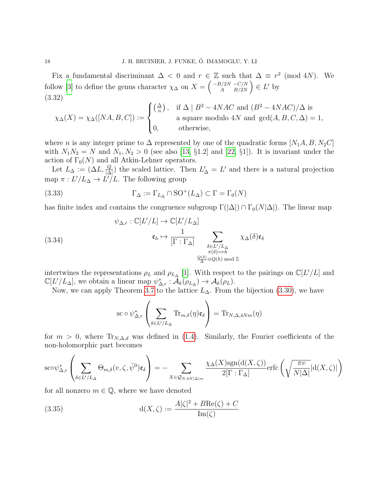Fix a fundamental discriminant  $\Delta$  < 0 and  $r \in \mathbb{Z}$  such that  $\Delta \equiv r^2 \pmod{4N}$ . We follow [\[3\]](#page-23-3) to define the genus character  $\chi_{\Delta}$  on  $X = \begin{pmatrix} -B/2N & -C/N \\ A & B/2N \end{pmatrix}$  $\binom{B/2N-C/N}{A-B/2N} \in L'$  by (3.32)

<span id="page-17-0"></span>
$$
\chi_{\Delta}(X) = \chi_{\Delta}([NA, B, C]) := \begin{cases} \left(\frac{\Delta}{n}\right), & \text{if } \Delta \mid B^2 - 4NAC \text{ and } (B^2 - 4NAC)/\Delta \text{ is} \\ a \text{ square modulo } 4N \text{ and } \gcd(A, B, C, \Delta) = 1, \\ 0, & \text{otherwise,} \end{cases}
$$

where *n* is any integer prime to  $\Delta$  represented by one of the quadratic forms [ $N_1A, B, N_2C$ ] with  $N_1N_2 = N$  and  $N_1, N_2 > 0$  (see also [\[13,](#page-23-10) §1.2] and [\[22,](#page-24-10) §1]). It is invariant under the action of  $\Gamma_0(N)$  and all Atkin-Lehner operators.

Let  $L_{\Delta} := (\Delta L, \frac{Q}{|\Delta|})$  the scaled lattice. Then  $L'_{\Delta} = L'$  and there is a natural projection map  $\pi: L'/L_{\Delta} \to L'/L$ . The following group

(3.33) 
$$
\Gamma_{\Delta} := \Gamma_{L_{\Delta}} \cap SO^{+}(L_{\Delta}) \subset \Gamma = \Gamma_{0}(N)
$$

has finite index and contains the congruence subgroup  $\Gamma(|\Delta|) \cap \Gamma_0(N|\Delta|)$ . The linear map

(3.34)  
\n
$$
\psi_{\Delta,r}: \mathbb{C}[L'/L] \to \mathbb{C}[L'/L_{\Delta}]
$$
\n
$$
\mathfrak{e}_h \mapsto \frac{1}{[\Gamma:\Gamma_{\Delta}]}\sum_{\substack{\delta \in L'/L_{\Delta} \\ \pi(\delta)=rh \\ \frac{Q(\delta)}{\Delta} \equiv Q(h) \bmod \mathbb{Z}}} \chi_{\Delta}(\delta)\mathfrak{e}_{\delta}
$$

intertwines the representations  $\rho_L$  and  $\rho_{L_{\Delta}}$  [\[1\]](#page-23-11). With respect to the pairings on  $\mathbb{C}[L'/L]$  and  $\mathbb{C}[L'/L_{\Delta}],$  we obtain a linear map  $\psi_{\Delta,r}^* : \mathcal{\vec{A}}_k(\rho_{L_{\Delta}}) \to \mathcal{A}_k(\rho_L).$ 

Now, we can apply Theorem [3.7](#page-14-1) to the lattice  $L_{\Delta}$ . From the bijection [\(3.30\)](#page-16-0), we have

$$
\operatorname{sc} \circ \psi^*_{\Delta,r} \left( \sum_{\delta \in L'/L_{\Delta}} \operatorname{Tr}_{m,\delta}(\eta) \mathfrak{e}_{\delta} \right) = \operatorname{Tr}_{N,\Delta,4Nm}(\eta)
$$

for  $m > 0$ , where  $\text{Tr}_{N,\Delta,d}$  was defined in [\(1.4\)](#page-2-2). Similarly, the Fourier coefficients of the non-holomorphic part becomes

$$
\operatorname{sc} \phi_{\Delta,r}^* \left( \sum_{\delta \in L'/L_{\Delta}} \Theta_{m,\delta}(v,\zeta,\tilde{\psi}^0) \mathfrak{e}_{\delta} \right) = - \sum_{X \in \mathcal{Q}_{N,4N |\Delta|m}} \frac{\chi_{\Delta}(X) \operatorname{sgn}(\operatorname{d}(X,\zeta))}{2[\Gamma:\Gamma_{\Delta}]} \operatorname{erfc} \left( \sqrt{\frac{\pi v}{N |\Delta|}} |\operatorname{d}(X,\zeta)| \right)
$$

for all nonzero  $m \in \mathbb{Q}$ , where we have denoted

(3.35) 
$$
d(X,\zeta) := \frac{A|\zeta|^2 + B \text{Re}(\zeta) + C}{\text{Im}(\zeta)}
$$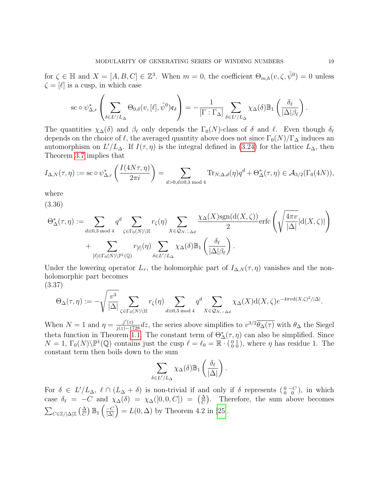for  $\zeta \in \mathbb{H}$  and  $X = [A, B, C] \in \mathbb{Z}^3$ . When  $m = 0$ , the coefficient  $\Theta_{m,h}(v, \zeta, \tilde{\psi}^0) = 0$  unless  $\zeta = [\ell]$  is a cusp, in which case

$$
\operatorname{sc} \circ \psi_{\Delta,r}^{*} \left( \sum_{\delta \in L'/L_{\Delta}} \Theta_{0,\delta}(v,[\ell],\tilde{\psi}^{0}) \mathfrak{e}_{\delta} \right) = -\frac{1}{[\Gamma : \Gamma_{\Delta}]} \sum_{\delta \in L'/L_{\Delta}} \chi_{\Delta}(\delta) \mathbb{B}_{1} \left( \frac{\delta_{\ell}}{|\Delta|\beta_{\ell}} \right)
$$

The quantities  $\chi_{\Delta}(\delta)$  and  $\beta_{\ell}$  only depends the  $\Gamma_0(N)$ -class of  $\delta$  and  $\ell$ . Even though  $\delta_{\ell}$ depends on the choice of  $\ell$ , the averaged quantity above does not since  $\Gamma_0(N)/\Gamma_\Delta$  induces an automorphism on  $L'/L_{\Delta}$ . If  $I(\tau, \eta)$  is the integral defined in [\(3.24\)](#page-14-0) for the lattice  $L_{\Delta}$ , then Theorem [3.7](#page-14-1) implies that

$$
I_{\Delta,N}(\tau,\eta) := \text{sc} \circ \psi_{\Delta,r}^* \left( \frac{I(4N\tau,\eta)}{2\pi i} \right) = \sum_{d>0,d \equiv 0,3 \bmod 4} \text{Tr}_{N,\Delta,d}(\eta) q^d + \Theta_{\Delta}^*(\tau,\eta) \in \mathcal{A}_{3/2}(\Gamma_0(4N)),
$$

where

(3.36)

<span id="page-18-0"></span>
$$
\Theta_{\Delta}^{*}(\tau,\eta) := \sum_{d\equiv 0,3 \bmod 4} q^{d} \sum_{\zeta \in \Gamma_{0}(N) \backslash \mathbb{H}} r_{\zeta}(\eta) \sum_{X \in \mathcal{Q}_{N,-\Delta d}} \frac{\chi_{\Delta}(X) \text{sgn}(\text{d}(X,\zeta))}{2} \text{erfc}\left(\sqrt{\frac{4\pi v}{|\Delta|}} |\text{d}(X,\zeta)|\right) + \sum_{[\ell] \in \Gamma_{0}(N) \backslash \mathbb{P}^{1}(\mathbb{Q})} r_{[\ell]}(\eta) \sum_{\delta \in L'/L_{\Delta}} \chi_{\Delta}(\delta) \mathbb{B}_{1}\left(\frac{\delta_{\ell}}{|\Delta|\beta_{\ell}}\right).
$$

Under the lowering operator  $L_{\tau}$ , the holomorphic part of  $I_{\Delta,N}(\tau,\eta)$  vanishes and the nonholomorphic part becomes (3.37)

<span id="page-18-1"></span>
$$
\Theta_\Delta(\tau,\eta):=-\sqrt{\frac{v^3}{|\Delta|}}\sum_{\zeta\in\Gamma_0(N)\backslash\mathbb{H}}r_\zeta(\eta)\sum_{d\equiv 0,3 \bmod 4}q^d\sum_{X\in\mathcal{Q}_{N,-\Delta d}}\chi_\Delta(X)\mathrm{d}(X,\zeta)e^{-4\pi v\mathrm{d}(X,\zeta)^2/|\Delta|}.
$$

When  $N=1$  and  $\eta = \frac{j'(z)}{j(z)-1728}dz$ , the series above simplifies to  $v^{3/2}\overline{\theta_{\Delta}(\tau)}$  with  $\theta_{\Delta}$  the Siegel theta function in Theorem [1.1.](#page-1-0) The constant term of  $\Theta_{\Delta}^*(\tau, \eta)$  can also be simplified. Since  $N = 1$ ,  $\Gamma_0(N) \backslash \mathbb{P}^1(\mathbb{Q})$  contains just the cusp  $\ell = \ell_0 = \mathbb{R} \cdot \begin{pmatrix} 0 & 1 \\ 0 & 0 \end{pmatrix}$ , where  $\eta$  has residue 1. The constant term then boils down to the sum

$$
\sum_{\delta \in L'/L_{\Delta}} \chi_{\Delta}(\delta) \mathbb{B}_1\left(\frac{\delta_{\ell}}{|\Delta|}\right).
$$

For  $\delta \in L'/L_{\Delta}$ ,  $\ell \cap (L_{\Delta} + \delta)$  is non-trivial if and only if  $\delta$  represents  $\binom{0 - C}{0 - 0}$ , in which case  $\delta_{\ell} = -C$  and  $\chi_{\Delta}(\delta) = \chi_{\Delta}([0, 0, C]) = (\frac{\Delta}{C})$ . Therefore, the sum above becomes  $\sum_{C\in\mathbb{Z}/|\Delta|\mathbb{Z}}\left(\frac{\Delta}{C}\right)\mathbb{B}_1\left(\frac{-C}{|\Delta|}\right)$  $\frac{-C}{|\Delta|}$  =  $L(0, \Delta)$  by Theorem 4.2 in [\[25\]](#page-24-11).

.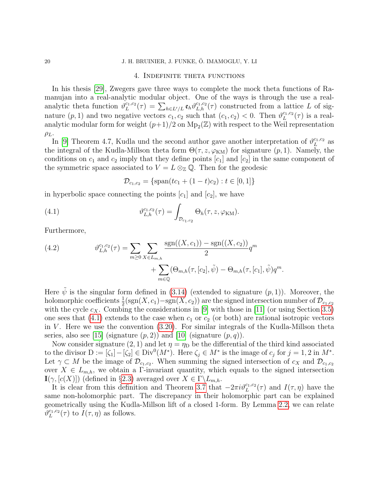#### 20 J. H. BRUINIER, J. FUNKE, Ö. IMAMOGLU, Y. LI

# 4. Indefinite theta functions

In his thesis [\[29\]](#page-24-7), Zwegers gave three ways to complete the mock theta functions of Ramanujan into a real-analytic modular object. One of the ways is through the use a realanalytic theta function  $\vartheta_L^{c_1,c_2}$  $L_{L}^{c_1,c_2}(\tau) = \sum_{h \in L'/L} \mathfrak{e}_h \vartheta_{L,h}^{c_1,c_2}(\tau)$  constructed from a lattice L of signature  $(p, 1)$  and two negative vectors  $c_1, c_2$  such that  $(c_1, c_2) < 0$ . Then  $\vartheta_L^{c_1, c_2}$  $L^{c_1,c_2}(\tau)$  is a realanalytic modular form for weight  $(p+1)/2$  on  $Mp_2(\mathbb{Z})$  with respect to the Weil representation  $\rho_L$ .

In [\[9\]](#page-23-2) Theorem 4.7, Kudla und the second author gave another interpretation of  $\vartheta_L^{c_1,c_2}$  $_L^{c_1,c_2}$  as the integral of the Kudla-Millson theta form  $\Theta(\tau, z, \varphi_{KM})$  for signature  $(p, 1)$ . Namely, the conditions on  $c_1$  and  $c_2$  imply that they define points  $[c_1]$  and  $[c_2]$  in the same component of the symmetric space associated to  $V = L \otimes_{\mathbb{Z}} \mathbb{Q}$ . Then for the geodesic

$$
\mathcal{D}_{c_1,c_2} = \{ \text{span}(tc_1 + (1-t)c_2) : t \in [0,1] \}
$$

in hyperbolic space connecting the points  $[c_1]$  and  $[c_2]$ , we have

<span id="page-19-0"></span>(4.1) 
$$
\vartheta_{L,h}^{c_1,c_2}(\tau) = \int_{\mathcal{D}_{c_1,c_2}} \Theta_h(\tau,z,\varphi_{KM}).
$$

Furthermore,

(4.2) 
$$
\vartheta_{L,h}^{c_1,c_2}(\tau) = \sum_{m \ge 0} \sum_{X \in L_{m,h}} \frac{\text{sgn}((X,c_1)) - \text{sgn}((X,c_2))}{2} q^m + \sum_{m \in \mathbb{Q}} (\Theta_{m,h}(\tau,[c_2], \tilde{\psi}) - \Theta_{m,h}(\tau,[c_1], \tilde{\psi}) q^m.
$$

Here  $\psi$  is the singular form defined in [\(3.14\)](#page-11-2) (extended to signature  $(p, 1)$ ). Moreover, the holomorphic coefficients  $\frac{1}{2}(\text{sgn}(X, c_1) - \text{sgn}(X, c_2))$  are the signed intersection number of  $\mathcal{D}_{c_1, c_2}$ with the cycle  $c_X$ . Combing the considerations in [\[9\]](#page-23-2) with those in [\[11\]](#page-23-9) (or using Section [3.5\)](#page-13-2) one sees that  $(4.1)$  extends to the case when  $c_1$  or  $c_2$  (or both) are rational isotropic vectors in  $V$ . Here we use the convention  $(3.20)$ . For similar integrals of the Kudla-Millson theta series, also see [\[15\]](#page-24-12) (signature  $(p, 2)$ ) and [\[10\]](#page-23-12) (signature  $(p, q)$ ).

Now consider signature (2, 1) and let  $\eta = \eta_D$  be the differential of the third kind associated to the divisor  $D := [\zeta_1] - [\zeta_2] \in Div^0(M^*)$ . Here  $\zeta_j \in M^*$  is the image of  $c_j$  for  $j = 1, 2$  in  $M^*$ . Let  $\gamma \subset M$  be the image of  $\mathcal{D}_{c_1,c_2}$ . When summing the signed intersection of  $c_X$  and  $\mathcal{D}_{c_1,c_2}$ over  $X \in L_{m,h}$ , we obtain a Γ-invariant quantity, which equals to the signed intersection  $\mathbf{I}(\gamma, [c(X)])$  (defined in §[2.3\)](#page-5-2) averaged over  $X \in \Gamma \backslash L_{m,h}$ .

It is clear from this definition and Theorem [3.7](#page-14-1) that  $-2\pi i \vartheta_L^{c_1,c_2}(\tau)$  and  $I(\tau,\eta)$  have the same non-holomorphic part. The discrepancy in their holomorphic part can be explained geometrically using the Kudla-Millson lift of a closed 1-form. By Lemma [2.2,](#page-6-1) we can relate  $\bar{\vartheta}_{L}^{c_{1},c_{2}}$  $L^{c_1,c_2}(\tau)$  to  $I(\tau,\eta)$  as follows.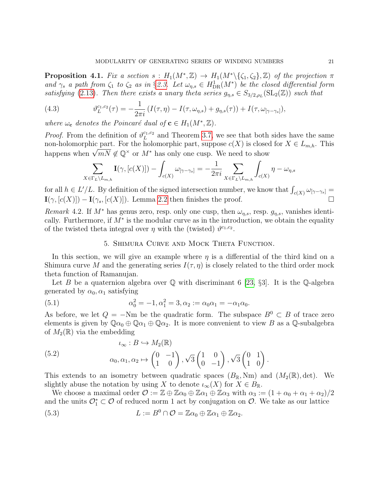**Proposition 4.1.** Fix a section  $s: H_1(M^*,\mathbb{Z}) \to H_1(M^*\setminus {\zeta_1,\zeta_2},\mathbb{Z})$  of the projection  $\pi$ and  $\gamma_s$  a path from  $\zeta_1$  to  $\zeta_2$  as in §[2.3.](#page-5-2) Let  $\omega_{\eta,s} \in H^1_{\text{DR}}(M^*)$  be the closed differential form satisfying [\(2.13\)](#page-6-2). Then there exists a unary theta series  $g_{\eta,s} \in S_{3/2,\rho_L}(\mathrm{SL}_2(\mathbb{Z}))$  such that

(4.3) 
$$
\vartheta_L^{c_1,c_2}(\tau) = -\frac{1}{2\pi i} \left( I(\tau,\eta) - I(\tau,\omega_{\eta,s}) + g_{\eta,s}(\tau) \right) + I(\tau,\omega_{[\gamma-\gamma_s]}),
$$

where  $\omega_{\mathbf{c}}$  denotes the Poincaré dual of  $\mathbf{c} \in H_1(M^*,\mathbb{Z})$ .

*Proof.* From the definition of  $\vartheta_L^{c_1,c_2}$  $\mu_L^{c_1,c_2}$  and Theorem [3.7,](#page-14-1) we see that both sides have the same non-holomorphic part. For the holomorphic part, suppose  $c(X)$  is closed for  $X \in L_{m,h}$ . This non-noiomorpinc part. For the noiomorpinc part, suppose  $c(\Lambda)$  is closed<br>happens when  $\sqrt{mN} \not\in \mathbb{Q}^\times$  or  $M^*$  has only one cusp. We need to show

$$
\sum_{X \in \Gamma_L \backslash L_{m,h}} \mathbf{I}(\gamma, [c(X)]) - \int_{c(X)} \omega_{[\gamma - \gamma_s]} = -\frac{1}{2\pi i} \sum_{X \in \Gamma_L \backslash L_{m,h}} \int_{c(X)} \eta - \omega_{\eta,s}
$$

for all  $h \in L'/L$ . By definition of the signed intersection number, we know that  $\int_{c(X)} \omega_{[\gamma-\gamma_s]} =$  $\mathbf{I}(\gamma, [c(X)]) - \mathbf{I}(\gamma_s, [c(X)])$ . Lemma [2.2](#page-6-1) then finishes the proof.

Remark 4.2. If  $M^*$  has genus zero, resp. only one cusp, then  $\omega_{\eta,s}$ , resp.  $g_{\eta,s}$ , vanishes identically. Furthermore, if  $M^*$  is the modular curve as in the introduction, we obtain the equality of the twisted theta integral over  $\eta$  with the (twisted)  $\vartheta^{c_1,c_2}$ .

# 5. Shimura Curve and Mock Theta Function.

In this section, we will give an example where  $\eta$  is a differential of the third kind on a Shimura curve M and the generating series  $I(\tau, \eta)$  is closely related to the third order mock theta function of Ramanujan.

Let B be a quaternion algebra over  $\mathbb Q$  with discriminant 6 [\[23,](#page-24-13) §3]. It is the  $\mathbb Q$ -algebra generated by  $\alpha_0, \alpha_1$  satisfying

(5.1) 
$$
\alpha_0^2 = -1, \alpha_1^2 = 3, \alpha_2 := \alpha_0 \alpha_1 = -\alpha_1 \alpha_0.
$$

As before, we let  $Q = -Nm$  be the quadratic form. The subspace  $B^0 \subset B$  of trace zero elements is given by  $\mathbb{Q} \alpha_0 \oplus \mathbb{Q} \alpha_1 \oplus \mathbb{Q} \alpha_2$ . It is more convenient to view B as a  $\mathbb{Q}$ -subalgebra of  $M_2(\mathbb{R})$  via the embedding

(5.2) 
$$
\iota_{\infty}: B \hookrightarrow M_2(\mathbb{R})
$$

$$
\alpha_0, \alpha_1, \alpha_2 \mapsto \begin{pmatrix} 0 & -1 \\ 1 & 0 \end{pmatrix}, \sqrt{3} \begin{pmatrix} 1 & 0 \\ 0 & -1 \end{pmatrix}, \sqrt{3} \begin{pmatrix} 0 & 1 \\ 1 & 0 \end{pmatrix}.
$$

This extends to an isometry between quadratic spaces  $(B_{\mathbb{R}}, Nm)$  and  $(M_2(\mathbb{R}), det)$ . We slightly abuse the notation by using X to denote  $\iota_{\infty}(X)$  for  $X \in B_{\mathbb{R}}$ .

We choose a maximal order  $\mathcal{O} := \mathbb{Z} \oplus \mathbb{Z} \alpha_0 \oplus \mathbb{Z} \alpha_1 \oplus \mathbb{Z} \alpha_3$  with  $\alpha_3 := (1 + \alpha_0 + \alpha_1 + \alpha_2)/2$ and the units  $\mathcal{O}_1^* \subset \mathcal{O}$  of reduced norm 1 act by conjugation on  $\mathcal{O}$ . We take as our lattice

(5.3) 
$$
L := B^0 \cap \mathcal{O} = \mathbb{Z}\alpha_0 \oplus \mathbb{Z}\alpha_1 \oplus \mathbb{Z}\alpha_2.
$$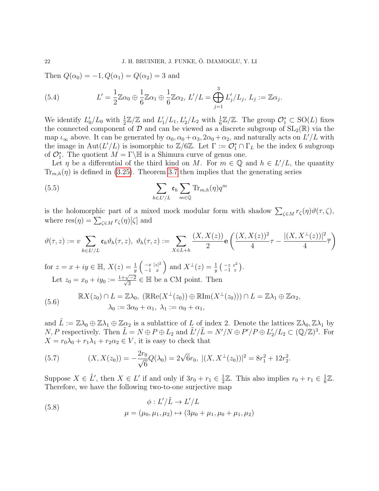Then  $Q(\alpha_0) = -1, Q(\alpha_1) = Q(\alpha_2) = 3$  and

(5.4) 
$$
L' = \frac{1}{2}\mathbb{Z}\alpha_0 \oplus \frac{1}{6}\mathbb{Z}\alpha_1 \oplus \frac{1}{6}\mathbb{Z}\alpha_2, L'/L = \bigoplus_{j=1}^3 L'_j/L_j, L_j := \mathbb{Z}\alpha_j.
$$

We identify  $L'_0/L_0$  with  $\frac{1}{2}\mathbb{Z}/\mathbb{Z}$  and  $L'_1/L_1, L'_2/L_2$  with  $\frac{1}{6}\mathbb{Z}/\mathbb{Z}$ . The group  $\mathcal{O}_1^* \subset SO(L)$  fixes the connected component of  $\mathcal D$  and can be viewed as a discrete subgroup of  $SL_2(\mathbb{R})$  via the map  $\iota_{\infty}$  above. It can be generated by  $\alpha_0, \alpha_0 + \alpha_3, 2\alpha_0 + \alpha_2$ , and naturally acts on  $L'/L$  with the image in Aut $(L'/L)$  is isomorphic to  $\mathbb{Z}/6\mathbb{Z}$ . Let  $\Gamma := \mathcal{O}_1^* \cap \Gamma_L$  be the index 6 subgroup of  $\mathcal{O}_1^*$ . The quotient  $M = \Gamma \backslash \mathbb{H}$  is a Shimura curve of genus one.

Let  $\eta$  be a differential of the third kind on M. For  $m \in \mathbb{Q}$  and  $h \in L'/L$ , the quantity  $\text{Tr}_{m,h}(\eta)$  is defined in [\(3.25\)](#page-14-2). Theorem [3.7](#page-14-1) then implies that the generating series

<span id="page-21-0"></span>(5.5) 
$$
\sum_{h \in L'/L} \mathfrak{e}_h \sum_{m \in \mathbb{Q}} \text{Tr}_{m,h}(\eta) q^m
$$

is the holomorphic part of a mixed mock modular form with shadow  $\sum_{\zeta \in M} r_{\zeta}(\eta) \vartheta(\tau, \zeta)$ , where  $res(\eta) = \sum_{\zeta \in M} r_{\zeta}(\eta)[\zeta]$  and

$$
\vartheta(\tau,z) := v \sum_{h \in L'/L} \mathfrak{e}_h \vartheta_h(\tau,z), \ \vartheta_h(\tau,z) := \sum_{X \in L+h} \frac{(X,X(z))}{2} \mathbf{e} \left( \frac{(X,X(z))^2}{4} \tau - \frac{|(X,X^{\perp}(z))|^2}{4} \overline{\tau} \right)
$$

for  $z = x + iy \in \mathbb{H}$ ,  $X(z) = \frac{1}{y} \begin{pmatrix} -x & |z|^2 \\ -1 & x \end{pmatrix}$  $-1$  x and  $X^{\perp}(z) = \frac{1}{y} \left( \begin{smallmatrix} -z & z^2 \\ -1 & z \end{smallmatrix} \right)$ . Let  $z_0 = x_0 + iy_0 := \frac{1+\sqrt{-2}}{\sqrt{3}} \in \mathbb{H}$  be a CM point. Then

(5.6) 
$$
\mathbb{R}X(z_0) \cap L = \mathbb{Z}\lambda_0, \ (\mathbb{R}\mathrm{Re}(X^\perp(z_0)) \oplus \mathbb{R}\mathrm{Im}(X^\perp(z_0))) \cap L = \mathbb{Z}\lambda_1 \oplus \mathbb{Z}\alpha_2, \lambda_0 := 3\alpha_0 + \alpha_1, \ \lambda_1 := \alpha_0 + \alpha_1,
$$

and  $\tilde{L} := \mathbb{Z}\lambda_0 \oplus \mathbb{Z}\lambda_1 \oplus \mathbb{Z}\alpha_2$  is a sublattice of L of index 2. Denote the lattices  $\mathbb{Z}\lambda_0, \mathbb{Z}\lambda_1$  by N, P respectively. Then  $\tilde{L} = N \oplus P \oplus L_2$  and  $\tilde{L}'/\tilde{L} = N'/N \oplus P'/P \oplus L'_2/L_2 \subset (\mathbb{Q}/\mathbb{Z})^3$ . For  $X = r_0\lambda_0 + r_1\lambda_1 + r_2\alpha_2 \in V$ , it is easy to check that

(5.7) 
$$
(X, X(z_0)) = -\frac{2r_0}{\sqrt{6}}Q(\lambda_0) = 2\sqrt{6}r_0, \ |(X, X^{\perp}(z_0))|^2 = 8r_1^2 + 12r_2^2.
$$

Suppose  $X \in \tilde{L}'$ , then  $X \in L'$  if and only if  $3r_0 + r_1 \in \frac{1}{2}$  $\frac{1}{2}\mathbb{Z}$ . This also implies  $r_0 + r_1 \in \frac{1}{6}$  $\frac{1}{6}\mathbb{Z}.$ Therefore, we have the following two-to-one surjective map

(5.8) 
$$
\phi: L'/\tilde{L} \to L'/L
$$

$$
\mu = (\mu_0, \mu_1, \mu_2) \mapsto (3\mu_0 + \mu_1, \mu_0 + \mu_1, \mu_2)
$$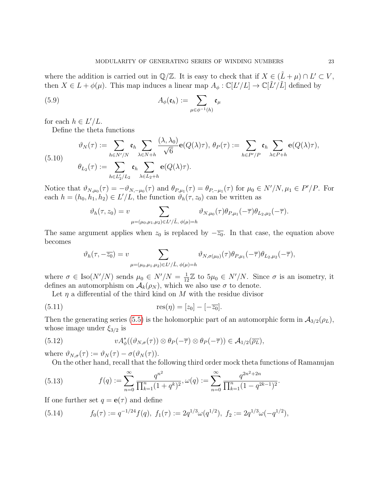where the addition is carried out in  $\mathbb{Q}/\mathbb{Z}$ . It is easy to check that if  $X \in (\tilde{L} + \mu) \cap L' \subset V$ , then  $X \in L + \phi(\mu)$ . This map induces a linear map  $A_{\phi}: \mathbb{C}[L'/L] \to \mathbb{C}[L'/L]$  defined by

(5.9) 
$$
A_{\phi}(\mathfrak{e}_h) := \sum_{\mu \in \phi^{-1}(h)} \mathfrak{e}_{\mu}
$$

for each  $h \in L'/L$ .

Define the theta functions

$$
\vartheta_N(\tau) := \sum_{h \in N'/N} \mathfrak{e}_h \sum_{\lambda \in N+h} \frac{(\lambda, \lambda_0)}{\sqrt{6}} \mathbf{e}(Q(\lambda)\tau), \ \theta_P(\tau) := \sum_{h \in P'/P} \mathfrak{e}_h \sum_{\lambda \in P+h} \mathbf{e}(Q(\lambda)\tau),
$$

$$
\theta_{L_2}(\tau) := \sum_{h \in L'_2/L_2} \mathfrak{e}_h \sum_{\lambda \in L_2+h} \mathbf{e}(Q(\lambda)\tau).
$$

Notice that  $\vartheta_{N,\mu_0}(\tau) = -\vartheta_{N,-\mu_0}(\tau)$  and  $\theta_{P,\mu_1}(\tau) = \theta_{P,-\mu_1}(\tau)$  for  $\mu_0 \in N'/N, \mu_1 \in P'/P$ . For each  $h = (h_0, h_1, h_2) \in L'/L$ , the function  $\vartheta_h(\tau, z_0)$  can be written as

$$
\vartheta_h(\tau, z_0) = v \sum_{\mu = (\mu_0, \mu_1, \mu_2) \in L'/\tilde{L}, \ \phi(\mu) = h} \vartheta_{N, \mu_0}(\tau) \theta_{P, \mu_1}(-\overline{\tau}) \theta_{L_2, \mu_2}(-\overline{\tau}).
$$

The same argument applies when  $z_0$  is replaced by  $-\overline{z_0}$ . In that case, the equation above becomes

$$
\vartheta_h(\tau, -\overline{z_0}) = v \sum_{\mu = (\mu_0, \mu_1, \mu_2) \in L'/\tilde{L}, \ \phi(\mu) = h} \vartheta_{N, \sigma(\mu_0)}(\tau) \theta_{P, \mu_1}(-\overline{\tau}) \theta_{L_2, \mu_2}(-\overline{\tau}),
$$

where  $\sigma \in \text{Iso}(N'/N)$  sends  $\mu_0 \in N'/N = \frac{1}{12}\mathbb{Z}$  to  $5\mu_0 \in N'/N$ . Since  $\sigma$  is an isometry, it defines an automorphism on  $\mathcal{A}_k(\rho_N)$ , which we also use  $\sigma$  to denote.

Let  $\eta$  a differential of the third kind on M with the residue divisor

(5.11) 
$$
res(\eta) = [z_0] - [-\overline{z_0}].
$$

Then the generating series [\(5.5\)](#page-21-0) is the holomorphic part of an automorphic form in  $\mathcal{A}_{3/2}(\rho_L)$ , whose image under  $\xi_{3/2}$  is

(5.12) 
$$
v A_{\phi}^*((\vartheta_{N,\sigma}(\tau)) \otimes \theta_P(-\overline{\tau}) \otimes \theta_P(-\overline{\tau})) \in \mathcal{A}_{1/2}(\overline{\rho_L}),
$$

where  $\vartheta_{N,\sigma}(\tau) := \vartheta_N(\tau) - \sigma(\vartheta_N(\tau)).$ 

On the other hand, recall that the following third order mock theta functions of Ramanujan

(5.13) 
$$
f(q) := \sum_{n=0}^{\infty} \frac{q^{n^2}}{\prod_{k=1}^n (1+q^k)^2}, \omega(q) := \sum_{n=0}^{\infty} \frac{q^{2n^2+2n}}{\prod_{k=1}^n (1-q^{2k-1})^2}.
$$

If one further set  $q = e(\tau)$  and define

(5.14) 
$$
f_0(\tau) := q^{-1/24} f(q), \ f_1(\tau) := 2q^{1/3} \omega(q^{1/2}), \ f_2 := 2q^{1/3} \omega(-q^{1/2}),
$$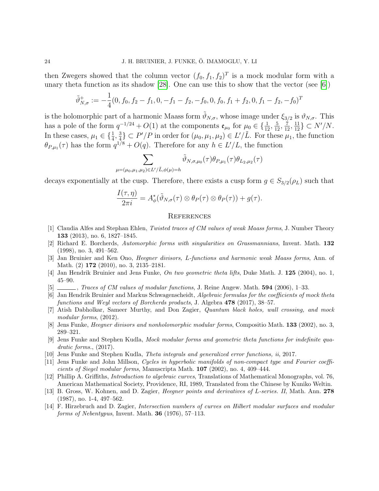then Zwegers showed that the column vector  $(f_0, f_1, f_2)^T$  is a mock modular form with a unary theta function as its shadow [\[28\]](#page-24-14). One can use this to show that the vector (see [\[6\]](#page-23-13))

$$
\tilde{\vartheta}_{N,\sigma}^{+} := -\frac{1}{4}(0, f_0, f_2 - f_1, 0, -f_1 - f_2, -f_0, 0, f_0, f_1 + f_2, 0, f_1 - f_2, -f_0)^T
$$

is the holomorphic part of a harmonic Maass form  $\tilde{\vartheta}_{N,\sigma}$ , whose image under  $\xi_{3/2}$  is  $\vartheta_{N,\sigma}$ . This has a pole of the form  $q^{-1/24} + O(1)$  at the components  $\mathfrak{e}_{\mu_0}$  for  $\mu_0 \in \{\frac{1}{12}, \frac{5}{12}, \frac{7}{12}, \frac{11}{12}\} \subset N'/N$ . In these cases,  $\mu_1 \in \{\frac{1}{4}, \frac{3}{4}\}$  $\frac{3}{4}$   $\subset$  P'/P in order for  $(\mu_0, \mu_1, \mu_2) \in L'/L$ . For these  $\mu_1$ , the function  $\theta_{P,\mu_1}(\tau)$  has the form  $q^{1/8} + O(q)$ . Therefore for any  $h \in L'/L$ , the function

$$
\sum_{\mu=(\mu_0,\mu_1,\mu_2)\in L'/\tilde{L},\phi(\mu)=h}\tilde{\vartheta}_{N,\sigma,\mu_0}(\tau)\theta_{P,\mu_1}(\tau)\theta_{L_2,\mu_2}(\tau)
$$

decays exponentially at the cusp. Therefore, there exists a cusp form  $g \in S_{3/2}(\rho_L)$  such that

$$
\frac{I(\tau,\eta)}{2\pi i}=A_{\phi}^*(\tilde{\vartheta}_{N,\sigma}(\tau)\otimes\theta_P(\tau)\otimes\theta_P(\tau))+g(\tau).
$$

#### **REFERENCES**

- <span id="page-23-11"></span>[1] Claudia Alfes and Stephan Ehlen, Twisted traces of CM values of weak Maass forms, J. Number Theory 133 (2013), no. 6, 1827–1845.
- <span id="page-23-5"></span>[2] Richard E. Borcherds, Automorphic forms with singularities on Grassmannians, Invent. Math. 132 (1998), no. 3, 491–562.
- <span id="page-23-3"></span>[3] Jan Bruinier and Ken Ono, Heegner divisors, L-functions and harmonic weak Maass forms, Ann. of Math. (2) 172 (2010), no. 3, 2135–2181.
- <span id="page-23-6"></span>[4] Jan Hendrik Bruinier and Jens Funke, On two geometric theta lifts, Duke Math. J. 125 (2004), no. 1, 45–90.
- <span id="page-23-8"></span> $[5]$   $\_\_\_\_\$ , Traces of CM values of modular functions, J. Reine Angew. Math. **594** (2006), 1–33.
- <span id="page-23-13"></span>[6] Jan Hendrik Bruinier and Markus Schwagenscheidt, Algebraic formulas for the coefficients of mock theta functions and Weyl vectors of Borcherds products, J. Algebra 478 (2017), 38–57.
- <span id="page-23-1"></span>[7] Atish Dabholkar, Sameer Murthy, and Don Zagier, Quantum black holes, wall crossing, and mock modular forms,  $(2012)$ .
- <span id="page-23-7"></span>[8] Jens Funke, Heegner divisors and nonholomorphic modular forms, Compositio Math. 133 (2002), no. 3, 289–321.
- <span id="page-23-2"></span>[9] Jens Funke and Stephen Kudla, Mock modular forms and geometric theta functions for indefinite quadratic forms., (2017).
- <span id="page-23-12"></span>[10] Jens Funke and Stephen Kudla, Theta integrals and generalized error functions, ii, 2017.
- <span id="page-23-9"></span>[11] Jens Funke and John Millson, Cycles in hyperbolic manifolds of non-compact type and Fourier coefficients of Siegel modular forms, Manuscripta Math. 107 (2002), no. 4, 409–444.
- <span id="page-23-4"></span>[12] Phillip A. Griffiths, Introduction to algebraic curves, Translations of Mathematical Monographs, vol. 76, American Mathematical Society, Providence, RI, 1989, Translated from the Chinese by Kuniko Weltin.
- <span id="page-23-10"></span>[13] B. Gross, W. Kohnen, and D. Zagier, Heegner points and derivatives of L-series. II, Math. Ann. 278 (1987), no. 1-4, 497–562.
- <span id="page-23-0"></span>[14] F. Hirzebruch and D. Zagier, Intersection numbers of curves on Hilbert modular surfaces and modular forms of Nebentypus, Invent. Math. **36** (1976), 57–113.